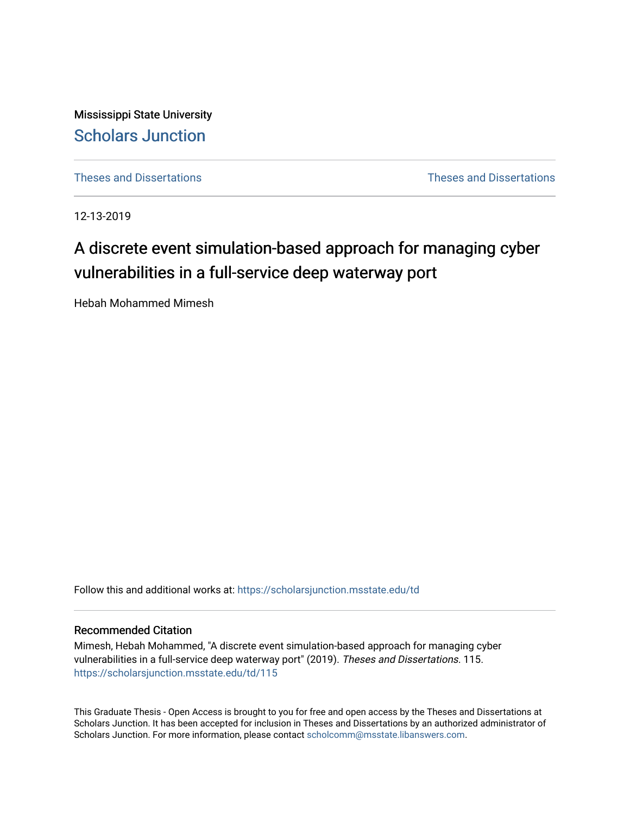Mississippi State University [Scholars Junction](https://scholarsjunction.msstate.edu/) 

[Theses and Dissertations](https://scholarsjunction.msstate.edu/td) [Theses and Dissertations](https://scholarsjunction.msstate.edu/theses-dissertations) 

12-13-2019

# A discrete event simulation-based approach for managing cyber vulnerabilities in a full-service deep waterway port

Hebah Mohammed Mimesh

Follow this and additional works at: [https://scholarsjunction.msstate.edu/td](https://scholarsjunction.msstate.edu/td?utm_source=scholarsjunction.msstate.edu%2Ftd%2F115&utm_medium=PDF&utm_campaign=PDFCoverPages) 

#### Recommended Citation

Mimesh, Hebah Mohammed, "A discrete event simulation-based approach for managing cyber vulnerabilities in a full-service deep waterway port" (2019). Theses and Dissertations. 115. [https://scholarsjunction.msstate.edu/td/115](https://scholarsjunction.msstate.edu/td/115?utm_source=scholarsjunction.msstate.edu%2Ftd%2F115&utm_medium=PDF&utm_campaign=PDFCoverPages) 

This Graduate Thesis - Open Access is brought to you for free and open access by the Theses and Dissertations at Scholars Junction. It has been accepted for inclusion in Theses and Dissertations by an authorized administrator of Scholars Junction. For more information, please contact [scholcomm@msstate.libanswers.com.](mailto:scholcomm@msstate.libanswers.com)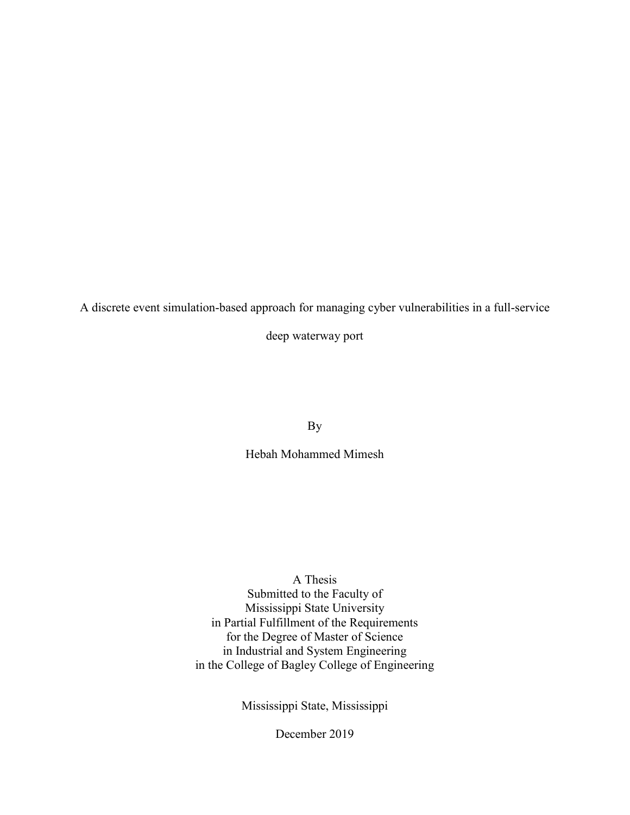A discrete event simulation-based approach for managing cyber vulnerabilities in a full-service

deep waterway port

By

Hebah Mohammed Mimesh

A Thesis

Submitted to the Faculty of Mississippi State University in Partial Fulfillment of the Requirements for the Degree of Master of Science in Industrial and System Engineering in the College of Bagley College of Engineering

Mississippi State, Mississippi

December 2019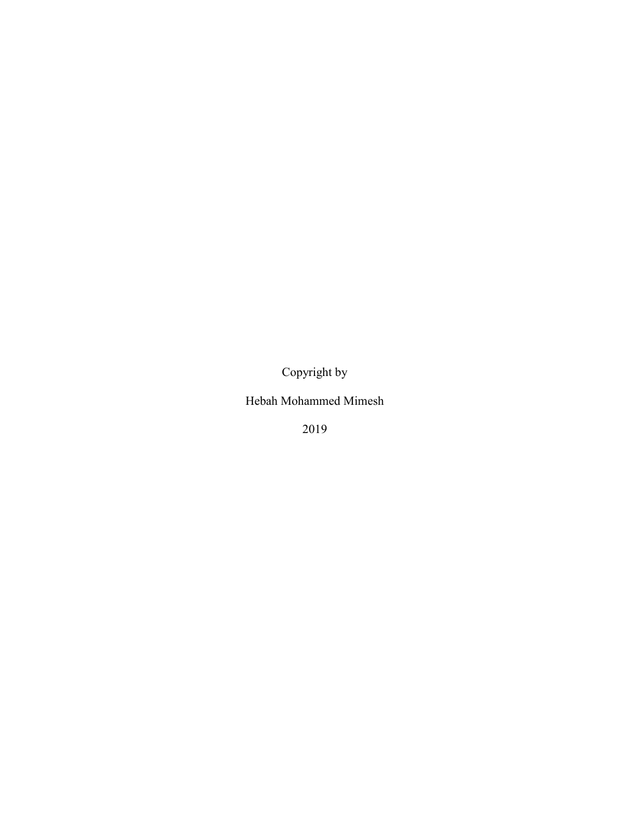Copyright by

Hebah Mohammed Mimesh

2019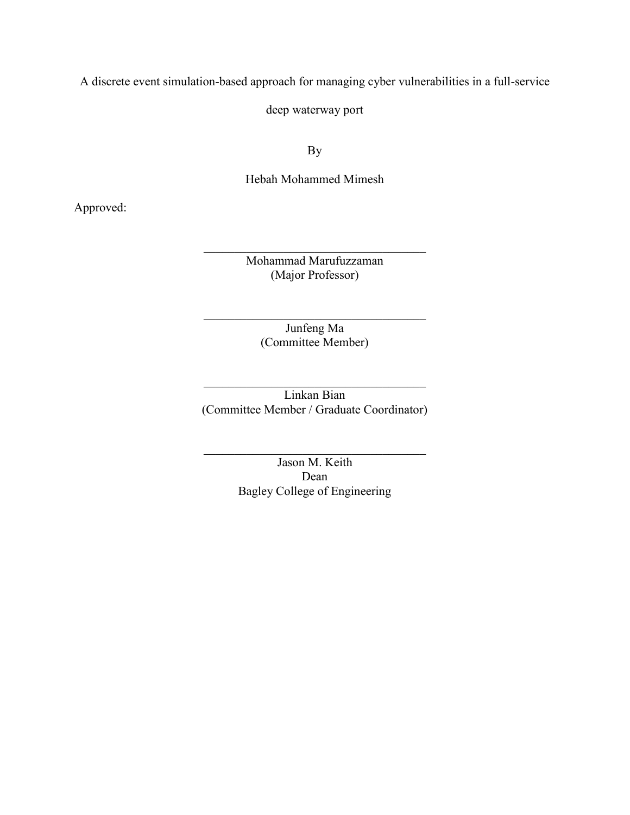A discrete event simulation-based approach for managing cyber vulnerabilities in a full-service

deep waterway port

By

Hebah Mohammed Mimesh

Approved:

Mohammad Marufuzzaman (Major Professor)

> Junfeng Ma (Committee Member)

Linkan Bian (Committee Member / Graduate Coordinator)

> Jason M. Keith Dean Bagley College of Engineering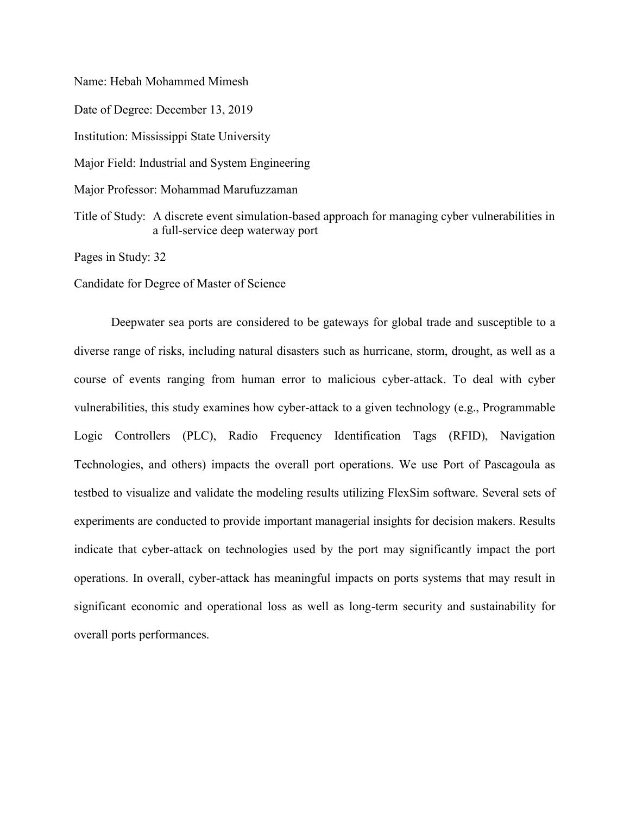Name: Hebah Mohammed Mimesh Date of Degree: December 13, 2019 Institution: Mississippi State University Major Field: Industrial and System Engineering Major Professor: Mohammad Marufuzzaman Title of Study: A discrete event simulation-based approach for managing cyber vulnerabilities in a full-service deep waterway port

Pages in Study: 32

Candidate for Degree of Master of Science

Deepwater sea ports are considered to be gateways for global trade and susceptible to a diverse range of risks, including natural disasters such as hurricane, storm, drought, as well as a course of events ranging from human error to malicious cyber-attack. To deal with cyber vulnerabilities, this study examines how cyber-attack to a given technology (e.g., Programmable Logic Controllers (PLC), Radio Frequency Identification Tags (RFID), Navigation Technologies, and others) impacts the overall port operations. We use Port of Pascagoula as testbed to visualize and validate the modeling results utilizing FlexSim software. Several sets of experiments are conducted to provide important managerial insights for decision makers. Results indicate that cyber-attack on technologies used by the port may significantly impact the port operations. In overall, cyber-attack has meaningful impacts on ports systems that may result in significant economic and operational loss as well as long-term security and sustainability for overall ports performances.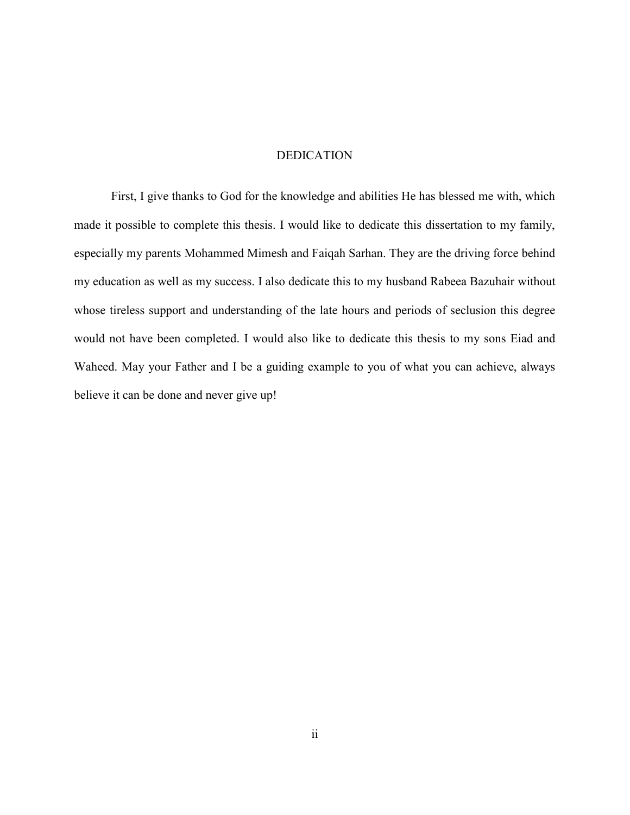#### DEDICATION

<span id="page-5-0"></span>First, I give thanks to God for the knowledge and abilities He has blessed me with, which made it possible to complete this thesis. I would like to dedicate this dissertation to my family, especially my parents Mohammed Mimesh and Faiqah Sarhan. They are the driving force behind my education as well as my success. I also dedicate this to my husband Rabeea Bazuhair without whose tireless support and understanding of the late hours and periods of seclusion this degree would not have been completed. I would also like to dedicate this thesis to my sons Eiad and Waheed. May your Father and I be a guiding example to you of what you can achieve, always believe it can be done and never give up!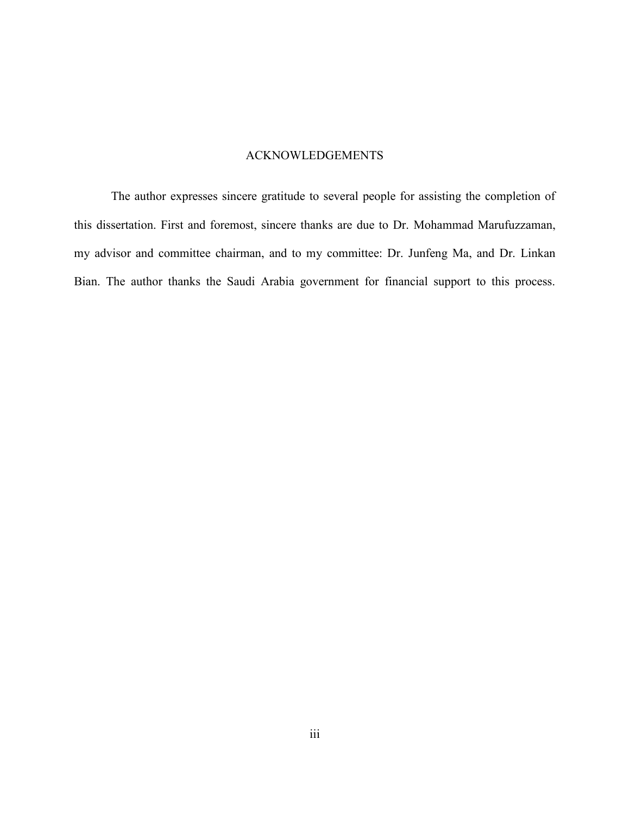# ACKNOWLEDGEMENTS

<span id="page-6-0"></span>The author expresses sincere gratitude to several people for assisting the completion of this dissertation. First and foremost, sincere thanks are due to Dr. Mohammad Marufuzzaman, my advisor and committee chairman, and to my committee: Dr. Junfeng Ma, and Dr. Linkan Bian. The author thanks the Saudi Arabia government for financial support to this process.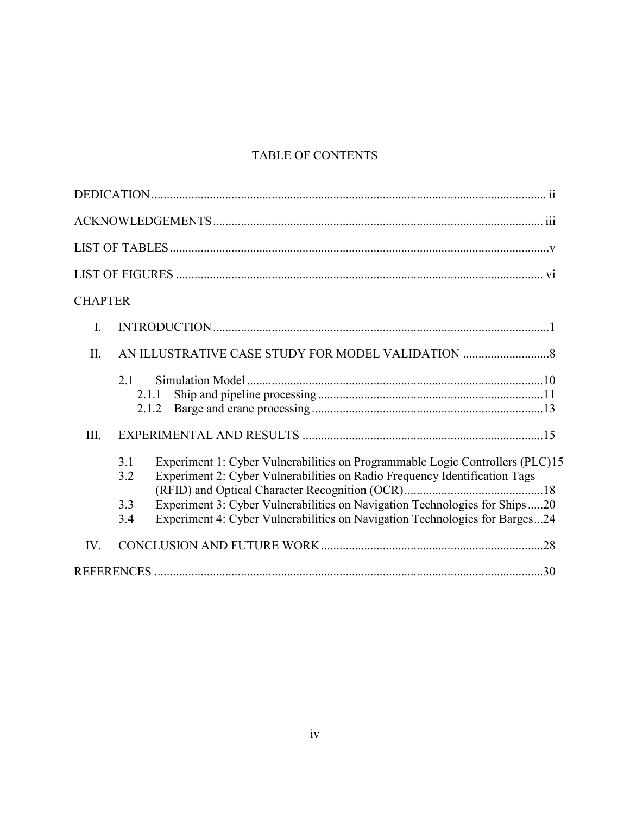# TABLE OF CONTENTS

| <b>CHAPTER</b>                                                                                                                                                                                                                                                 |
|----------------------------------------------------------------------------------------------------------------------------------------------------------------------------------------------------------------------------------------------------------------|
| I.                                                                                                                                                                                                                                                             |
| AN ILLUSTRATIVE CASE STUDY FOR MODEL VALIDATION<br>II.                                                                                                                                                                                                         |
| 2.1<br>2.1.1<br>2.1.2                                                                                                                                                                                                                                          |
| III.                                                                                                                                                                                                                                                           |
| Experiment 1: Cyber Vulnerabilities on Programmable Logic Controllers (PLC)15<br>3.1<br>Experiment 2: Cyber Vulnerabilities on Radio Frequency Identification Tags<br>3.2<br>Experiment 3: Cyber Vulnerabilities on Navigation Technologies for Ships20<br>3.3 |
| Experiment 4: Cyber Vulnerabilities on Navigation Technologies for Barges24<br>3.4                                                                                                                                                                             |
| IV.                                                                                                                                                                                                                                                            |
|                                                                                                                                                                                                                                                                |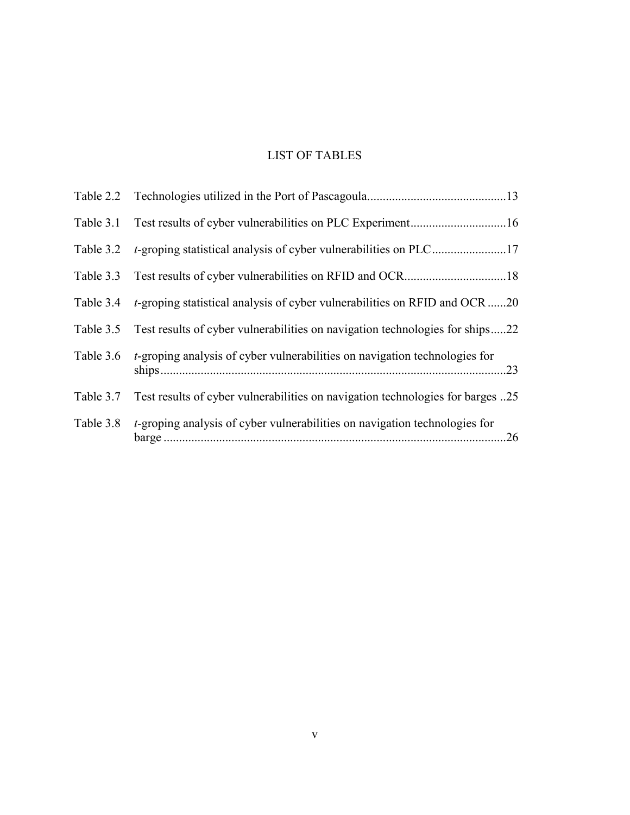# LIST OF TABLES

<span id="page-8-0"></span>

|           | Table 3.1 Test results of cyber vulnerabilities on PLC Experiment16                    |
|-----------|----------------------------------------------------------------------------------------|
|           | Table 3.2 <i>t</i> -groping statistical analysis of cyber vulnerabilities on PLC17     |
|           |                                                                                        |
|           | Table 3.4 t-groping statistical analysis of cyber vulnerabilities on RFID and OCR20    |
|           | Table 3.5 Test results of cyber vulnerabilities on navigation technologies for ships22 |
| Table 3.6 | <i>t</i> -groping analysis of cyber vulnerabilities on navigation technologies for     |
| Table 3.7 | Test results of cyber vulnerabilities on navigation technologies for barges 25         |
| Table 3.8 | <i>t</i> -groping analysis of cyber vulnerabilities on navigation technologies for     |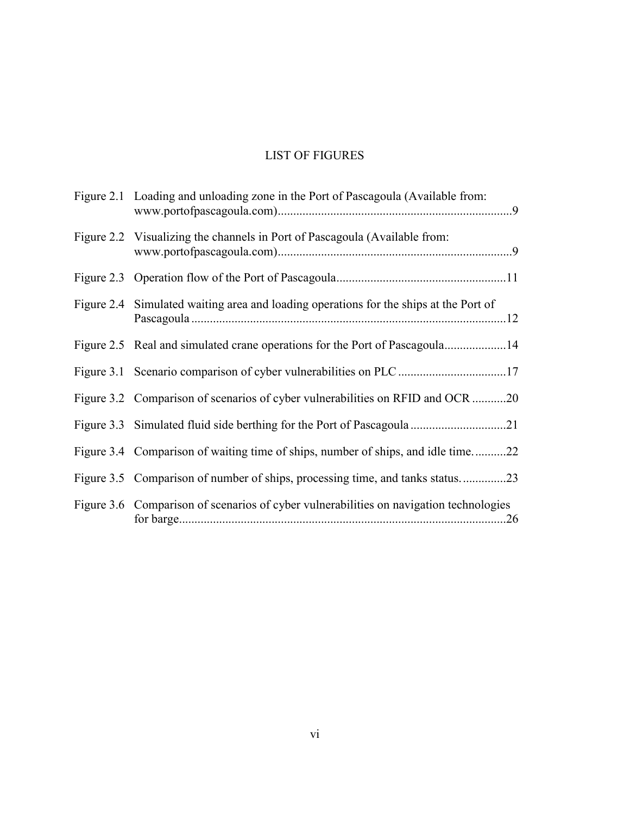# LIST OF FIGURES

<span id="page-9-0"></span>

| Figure 2.1 Loading and unloading zone in the Port of Pascagoula (Available from:       |
|----------------------------------------------------------------------------------------|
| Figure 2.2 Visualizing the channels in Port of Pascagoula (Available from:             |
|                                                                                        |
| Figure 2.4 Simulated waiting area and loading operations for the ships at the Port of  |
| Figure 2.5 Real and simulated crane operations for the Port of Pascagoula14            |
|                                                                                        |
| Figure 3.2 Comparison of scenarios of cyber vulnerabilities on RFID and OCR 20         |
|                                                                                        |
| Figure 3.4 Comparison of waiting time of ships, number of ships, and idle time22       |
| Figure 3.5 Comparison of number of ships, processing time, and tanks status23          |
| Figure 3.6 Comparison of scenarios of cyber vulnerabilities on navigation technologies |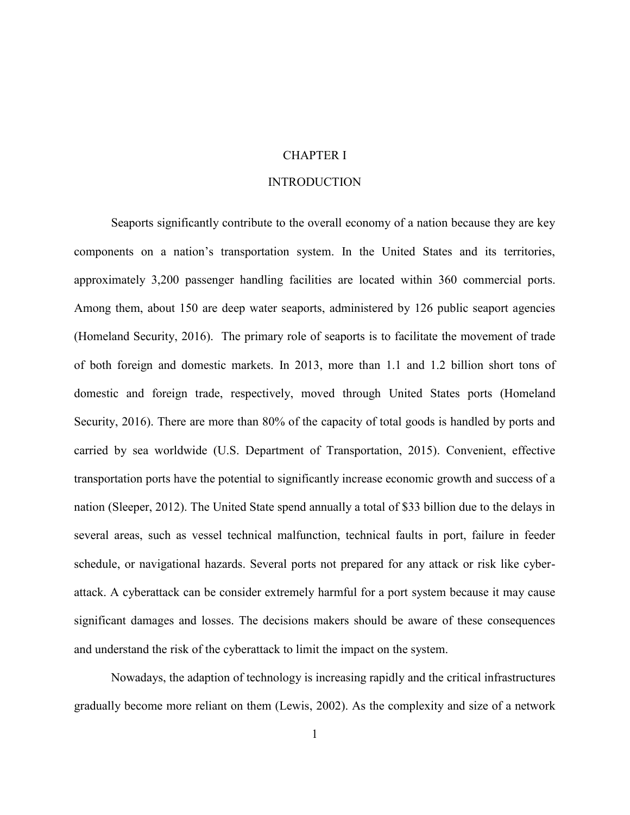# CHAPTER I

## INTRODUCTION

<span id="page-10-1"></span><span id="page-10-0"></span>Seaports significantly contribute to the overall economy of a nation because they are key components on a nation's transportation system. In the United States and its territories, approximately 3,200 passenger handling facilities are located within 360 commercial ports. Among them, about 150 are deep water seaports, administered by 126 public seaport agencies (Homeland Security, 2016). The primary role of seaports is to facilitate the movement of trade of both foreign and domestic markets. In 2013, more than 1.1 and 1.2 billion short tons of domestic and foreign trade, respectively, moved through United States ports (Homeland Security, 2016). There are more than 80% of the capacity of total goods is handled by ports and carried by sea worldwide (U.S. Department of Transportation, 2015). Convenient, effective transportation ports have the potential to significantly increase economic growth and success of a nation (Sleeper, 2012). The United State spend annually a total of \$33 billion due to the delays in several areas, such as vessel technical malfunction, technical faults in port, failure in feeder schedule, or navigational hazards. Several ports not prepared for any attack or risk like cyberattack. A cyberattack can be consider extremely harmful for a port system because it may cause significant damages and losses. The decisions makers should be aware of these consequences and understand the risk of the cyberattack to limit the impact on the system.

Nowadays, the adaption of technology is increasing rapidly and the critical infrastructures gradually become more reliant on them (Lewis, 2002). As the complexity and size of a network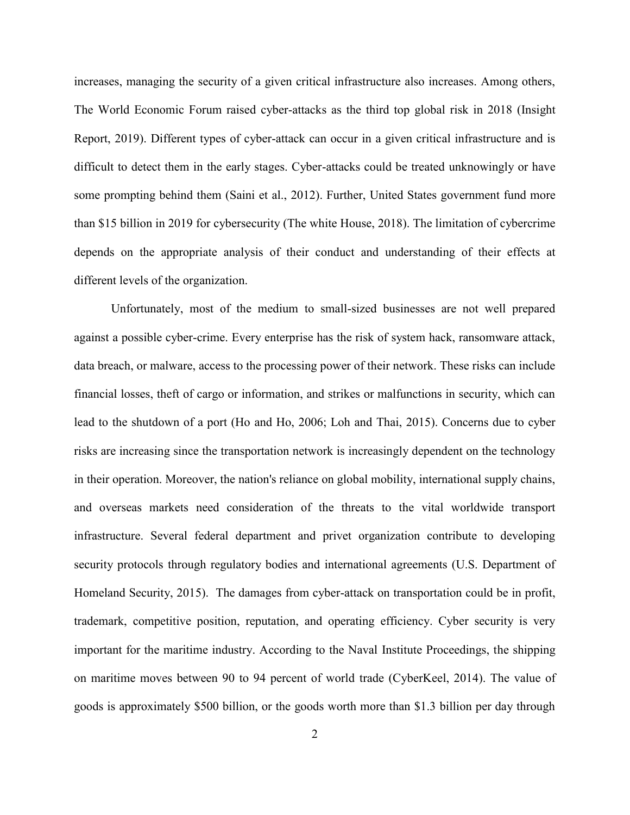increases, managing the security of a given critical infrastructure also increases. Among others, The World Economic Forum raised cyber-attacks as the third top global risk in 2018 (Insight Report, 2019). Different types of cyber-attack can occur in a given critical infrastructure and is difficult to detect them in the early stages. Cyber-attacks could be treated unknowingly or have some prompting behind them (Saini et al., 2012). Further, United States government fund more than \$15 billion in 2019 for cybersecurity (The white House, 2018). The limitation of cybercrime depends on the appropriate analysis of their conduct and understanding of their effects at different levels of the organization.

Unfortunately, most of the medium to small-sized businesses are not well prepared against a possible cyber-crime. Every enterprise has the risk of system hack, ransomware attack, data breach, or malware, access to the processing power of their network. These risks can include financial losses, theft of cargo or information, and strikes or malfunctions in security, which can lead to the shutdown of a port (Ho and Ho, 2006; Loh and Thai, 2015). Concerns due to cyber risks are increasing since the transportation network is increasingly dependent on the technology in their operation. Moreover, the nation's reliance on global mobility, international supply chains, and overseas markets need consideration of the threats to the vital worldwide transport infrastructure. Several federal department and privet organization contribute to developing security protocols through regulatory bodies and international agreements (U.S. Department of Homeland Security, 2015). The damages from cyber-attack on transportation could be in profit, trademark, competitive position, reputation, and operating efficiency. Cyber security is very important for the maritime industry. According to the Naval Institute Proceedings, the shipping on maritime moves between 90 to 94 percent of world trade (CyberKeel, 2014). The value of goods is approximately \$500 billion, or the goods worth more than \$1.3 billion per day through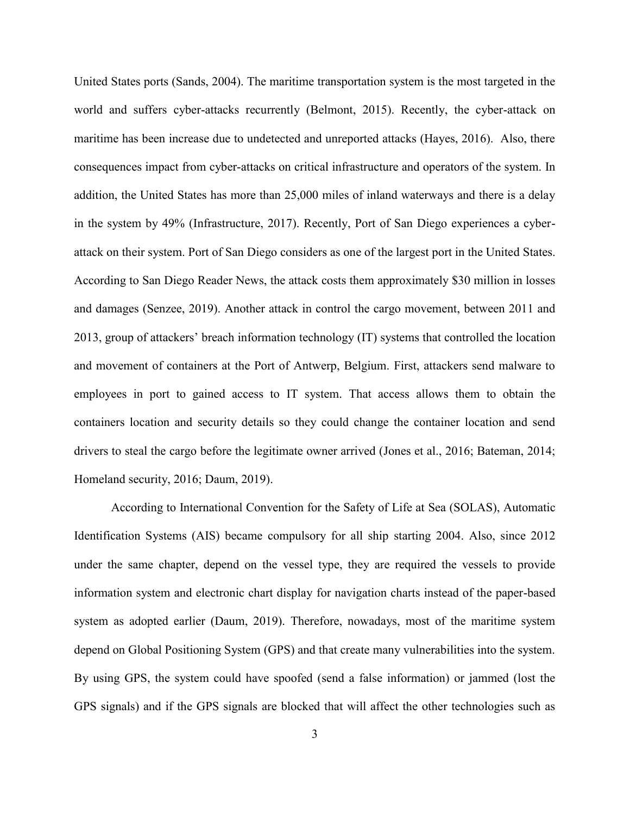United States ports (Sands, 2004). The maritime transportation system is the most targeted in the world and suffers cyber-attacks recurrently (Belmont, 2015). Recently, the cyber-attack on maritime has been increase due to undetected and unreported attacks (Hayes, 2016). Also, there consequences impact from cyber-attacks on critical infrastructure and operators of the system. In addition, the United States has more than 25,000 miles of inland waterways and there is a delay in the system by 49% (Infrastructure, 2017). Recently, Port of San Diego experiences a cyberattack on their system. Port of San Diego considers as one of the largest port in the United States. According to San Diego Reader News, the attack costs them approximately \$30 million in losses and damages (Senzee, 2019). Another attack in control the cargo movement, between 2011 and 2013, group of attackers' breach information technology (IT) systems that controlled the location and movement of containers at the Port of Antwerp, Belgium. First, attackers send malware to employees in port to gained access to IT system. That access allows them to obtain the containers location and security details so they could change the container location and send drivers to steal the cargo before the legitimate owner arrived (Jones et al., 2016; Bateman, 2014; Homeland security, 2016; Daum, 2019).

According to International Convention for the Safety of Life at Sea (SOLAS), Automatic Identification Systems (AIS) became compulsory for all ship starting 2004. Also, since 2012 under the same chapter, depend on the vessel type, they are required the vessels to provide information system and electronic chart display for navigation charts instead of the paper-based system as adopted earlier (Daum, 2019). Therefore, nowadays, most of the maritime system depend on Global Positioning System (GPS) and that create many vulnerabilities into the system. By using GPS, the system could have spoofed (send a false information) or jammed (lost the GPS signals) and if the GPS signals are blocked that will affect the other technologies such as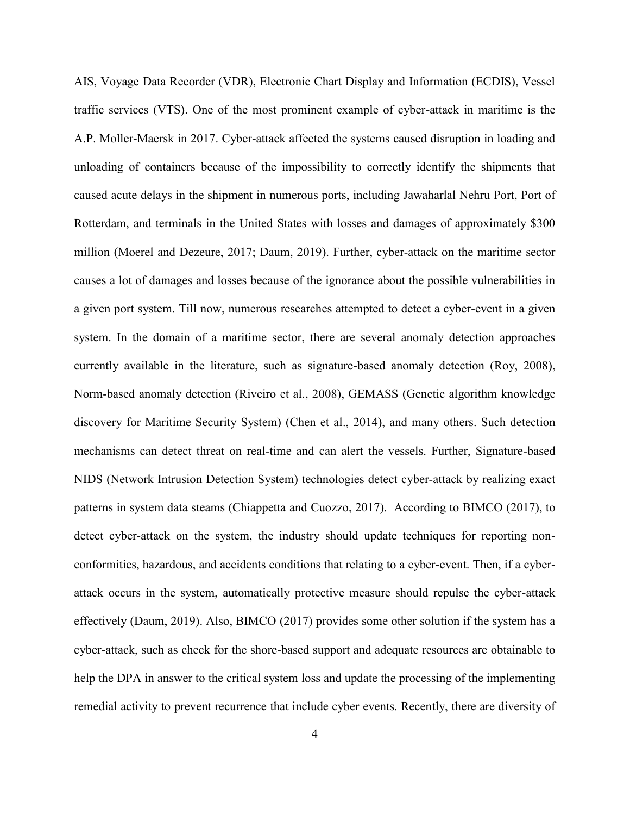AIS, Voyage Data Recorder (VDR), Electronic Chart Display and Information (ECDIS), Vessel traffic services (VTS). One of the most prominent example of cyber-attack in maritime is the A.P. Moller-Maersk in 2017. Cyber-attack affected the systems caused disruption in loading and unloading of containers because of the impossibility to correctly identify the shipments that caused acute delays in the shipment in numerous ports, including Jawaharlal Nehru Port, Port of Rotterdam, and terminals in the United States with losses and damages of approximately \$300 million (Moerel and Dezeure, 2017; Daum, 2019). Further, cyber-attack on the maritime sector causes a lot of damages and losses because of the ignorance about the possible vulnerabilities in a given port system. Till now, numerous researches attempted to detect a cyber-event in a given system. In the domain of a maritime sector, there are several anomaly detection approaches currently available in the literature, such as signature-based anomaly detection (Roy, 2008), Norm-based anomaly detection (Riveiro et al., 2008), GEMASS (Genetic algorithm knowledge discovery for Maritime Security System) (Chen et al., 2014), and many others. Such detection mechanisms can detect threat on real-time and can alert the vessels. Further, Signature-based NIDS (Network Intrusion Detection System) technologies detect cyber-attack by realizing exact patterns in system data steams (Chiappetta and Cuozzo, 2017). According to BIMCO (2017), to detect cyber-attack on the system, the industry should update techniques for reporting nonconformities, hazardous, and accidents conditions that relating to a cyber-event. Then, if a cyberattack occurs in the system, automatically protective measure should repulse the cyber-attack effectively (Daum, 2019). Also, BIMCO (2017) provides some other solution if the system has a cyber-attack, such as check for the shore-based support and adequate resources are obtainable to help the DPA in answer to the critical system loss and update the processing of the implementing remedial activity to prevent recurrence that include cyber events. Recently, there are diversity of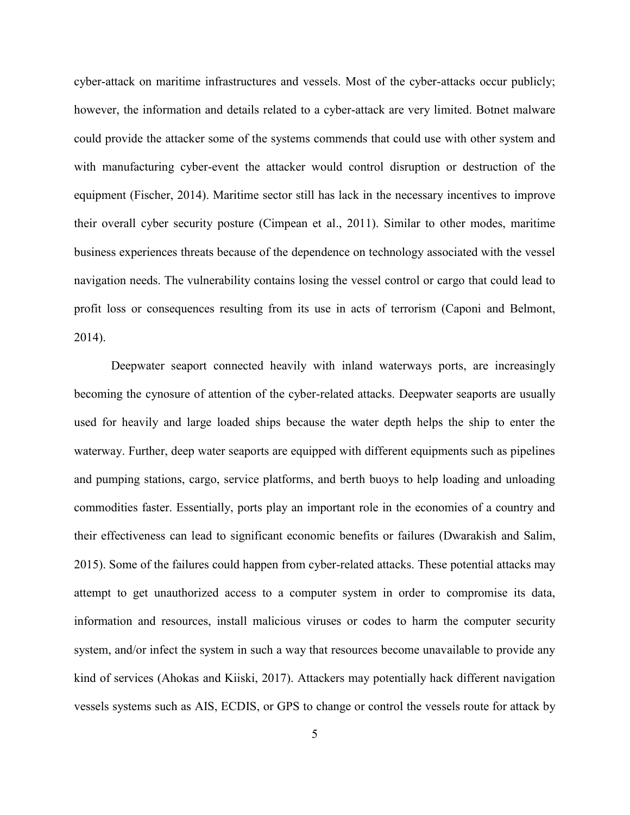cyber-attack on maritime infrastructures and vessels. Most of the cyber-attacks occur publicly; however, the information and details related to a cyber-attack are very limited. Botnet malware could provide the attacker some of the systems commends that could use with other system and with manufacturing cyber-event the attacker would control disruption or destruction of the equipment (Fischer, 2014). Maritime sector still has lack in the necessary incentives to improve their overall cyber security posture (Cimpean et al., 2011). Similar to other modes, maritime business experiences threats because of the dependence on technology associated with the vessel navigation needs. The vulnerability contains losing the vessel control or cargo that could lead to profit loss or consequences resulting from its use in acts of terrorism (Caponi and Belmont, 2014).

Deepwater seaport connected heavily with inland waterways ports, are increasingly becoming the cynosure of attention of the cyber-related attacks. Deepwater seaports are usually used for heavily and large loaded ships because the water depth helps the ship to enter the waterway. Further, deep water seaports are equipped with different equipments such as pipelines and pumping stations, cargo, service platforms, and berth buoys to help loading and unloading commodities faster. Essentially, ports play an important role in the economies of a country and their effectiveness can lead to significant economic benefits or failures (Dwarakish and Salim, 2015). Some of the failures could happen from cyber-related attacks. These potential attacks may attempt to get unauthorized access to a computer system in order to compromise its data, information and resources, install malicious viruses or codes to harm the computer security system, and/or infect the system in such a way that resources become unavailable to provide any kind of services (Ahokas and Kiiski, 2017). Attackers may potentially hack different navigation vessels systems such as AIS, ECDIS, or GPS to change or control the vessels route for attack by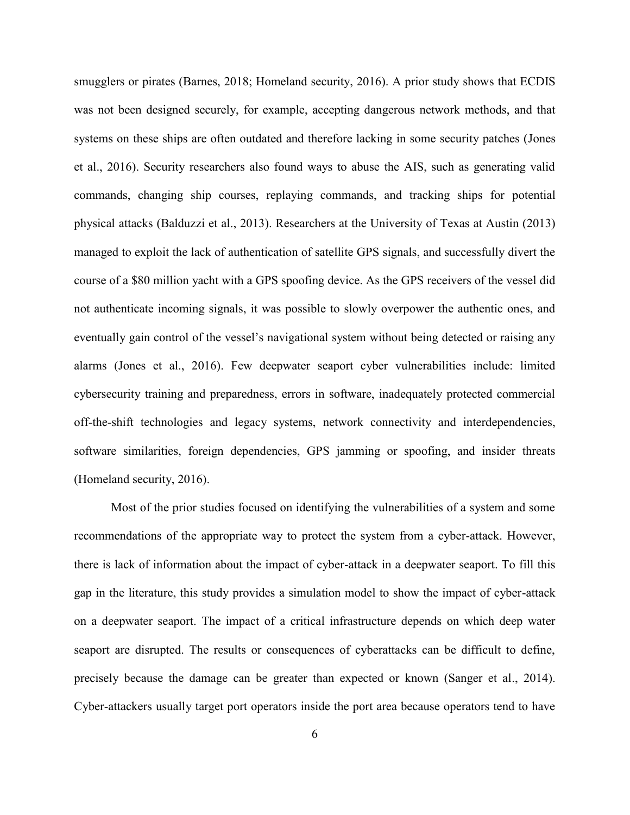smugglers or pirates (Barnes, 2018; Homeland security, 2016). A prior study shows that ECDIS was not been designed securely, for example, accepting dangerous network methods, and that systems on these ships are often outdated and therefore lacking in some security patches (Jones et al., 2016). Security researchers also found ways to abuse the AIS, such as generating valid commands, changing ship courses, replaying commands, and tracking ships for potential physical attacks (Balduzzi et al., 2013). Researchers at the University of Texas at Austin (2013) managed to exploit the lack of authentication of satellite GPS signals, and successfully divert the course of a \$80 million yacht with a GPS spoofing device. As the GPS receivers of the vessel did not authenticate incoming signals, it was possible to slowly overpower the authentic ones, and eventually gain control of the vessel's navigational system without being detected or raising any alarms (Jones et al., 2016). Few deepwater seaport cyber vulnerabilities include: limited cybersecurity training and preparedness, errors in software, inadequately protected commercial off-the-shift technologies and legacy systems, network connectivity and interdependencies, software similarities, foreign dependencies, GPS jamming or spoofing, and insider threats (Homeland security, 2016).

Most of the prior studies focused on identifying the vulnerabilities of a system and some recommendations of the appropriate way to protect the system from a cyber-attack. However, there is lack of information about the impact of cyber-attack in a deepwater seaport. To fill this gap in the literature, this study provides a simulation model to show the impact of cyber-attack on a deepwater seaport. The impact of a critical infrastructure depends on which deep water seaport are disrupted. The results or consequences of cyberattacks can be difficult to define, precisely because the damage can be greater than expected or known (Sanger et al., 2014). Cyber-attackers usually target port operators inside the port area because operators tend to have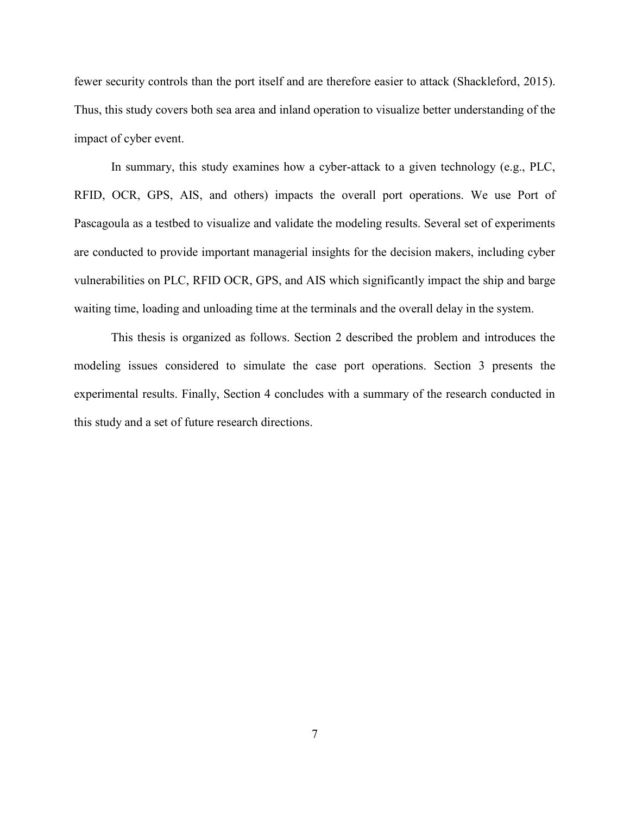fewer security controls than the port itself and are therefore easier to attack (Shackleford, 2015). Thus, this study covers both sea area and inland operation to visualize better understanding of the impact of cyber event.

In summary, this study examines how a cyber-attack to a given technology (e.g., PLC, RFID, OCR, GPS, AIS, and others) impacts the overall port operations. We use Port of Pascagoula as a testbed to visualize and validate the modeling results. Several set of experiments are conducted to provide important managerial insights for the decision makers, including cyber vulnerabilities on PLC, RFID OCR, GPS, and AIS which significantly impact the ship and barge waiting time, loading and unloading time at the terminals and the overall delay in the system.

This thesis is organized as follows. Section 2 described the problem and introduces the modeling issues considered to simulate the case port operations. Section 3 presents the experimental results. Finally, Section 4 concludes with a summary of the research conducted in this study and a set of future research directions.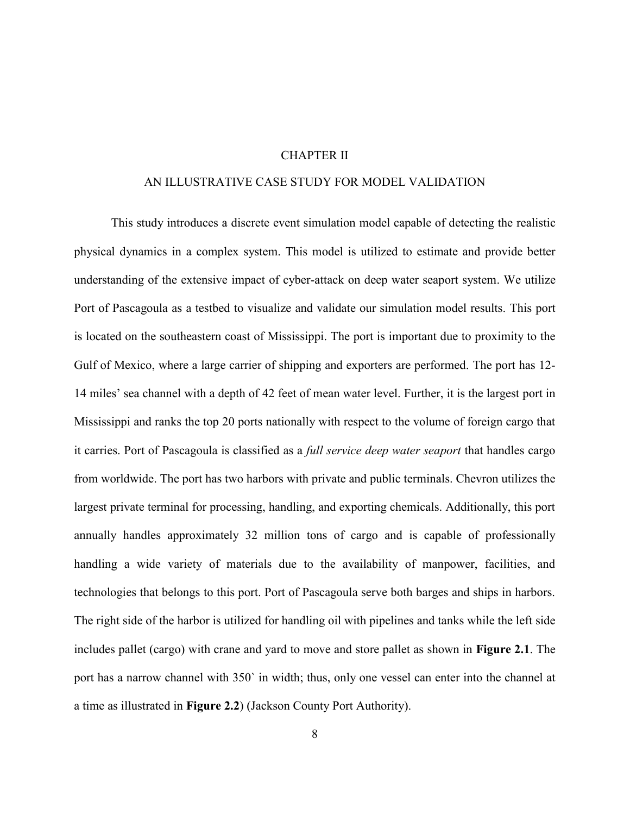## CHAPTER II

# AN ILLUSTRATIVE CASE STUDY FOR MODEL VALIDATION

<span id="page-17-0"></span>This study introduces a discrete event simulation model capable of detecting the realistic physical dynamics in a complex system. This model is utilized to estimate and provide better understanding of the extensive impact of cyber-attack on deep water seaport system. We utilize Port of Pascagoula as a testbed to visualize and validate our simulation model results. This port is located on the southeastern coast of Mississippi. The port is important due to proximity to the Gulf of Mexico, where a large carrier of shipping and exporters are performed. The port has 12- 14 miles' sea channel with a depth of 42 feet of mean water level. Further, it is the largest port in Mississippi and ranks the top 20 ports nationally with respect to the volume of foreign cargo that it carries. Port of Pascagoula is classified as a *full service deep water seaport* that handles cargo from worldwide. The port has two harbors with private and public terminals. Chevron utilizes the largest private terminal for processing, handling, and exporting chemicals. Additionally, this port annually handles approximately 32 million tons of cargo and is capable of professionally handling a wide variety of materials due to the availability of manpower, facilities, and technologies that belongs to this port. Port of Pascagoula serve both barges and ships in harbors. The right side of the harbor is utilized for handling oil with pipelines and tanks while the left side includes pallet (cargo) with crane and yard to move and store pallet as shown in **Figure 2.1**. The port has a narrow channel with 350` in width; thus, only one vessel can enter into the channel at a time as illustrated in **Figure 2.2**) (Jackson County Port Authority).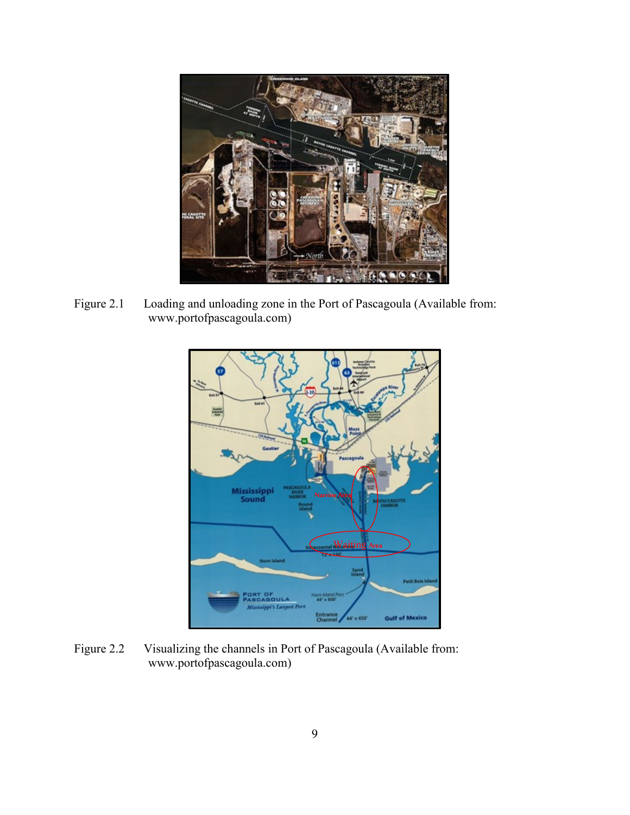<span id="page-18-0"></span>

<span id="page-18-1"></span>Figure 2.1 Loading and unloading zone in the Port of Pascagoula (Available from: www.portofpascagoula.com)



<span id="page-18-2"></span>Figure 2.2 Visualizing the channels in Port of Pascagoula (Available from: www.portofpascagoula.com)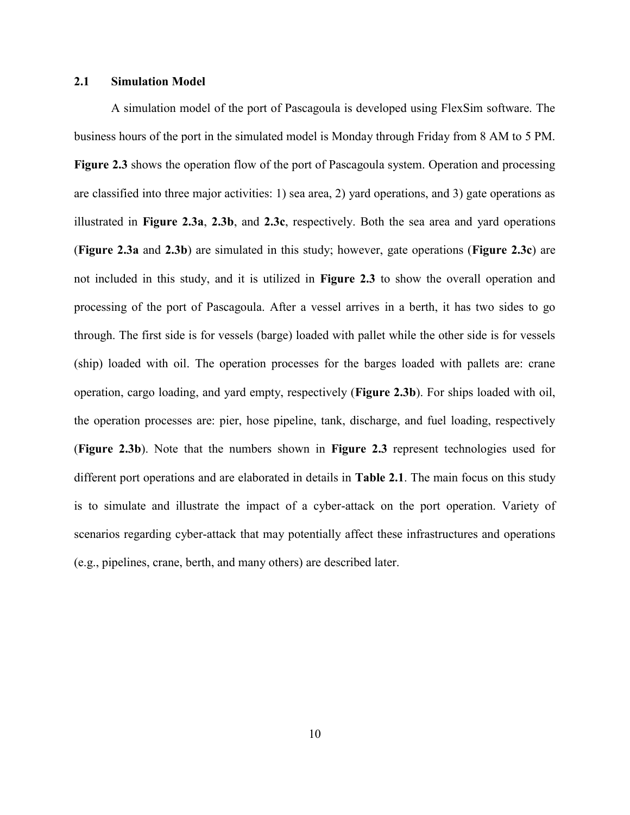# **2.1 Simulation Model**

A simulation model of the port of Pascagoula is developed using FlexSim software. The business hours of the port in the simulated model is Monday through Friday from 8 AM to 5 PM. **Figure 2.3** shows the operation flow of the port of Pascagoula system. Operation and processing are classified into three major activities: 1) sea area, 2) yard operations, and 3) gate operations as illustrated in **Figure 2.3a**, **2.3b**, and **2.3c**, respectively. Both the sea area and yard operations (**Figure 2.3a** and **2.3b**) are simulated in this study; however, gate operations (**Figure 2.3c**) are not included in this study, and it is utilized in **Figure 2.3** to show the overall operation and processing of the port of Pascagoula. After a vessel arrives in a berth, it has two sides to go through. The first side is for vessels (barge) loaded with pallet while the other side is for vessels (ship) loaded with oil. The operation processes for the barges loaded with pallets are: crane operation, cargo loading, and yard empty, respectively (**Figure 2.3b**). For ships loaded with oil, the operation processes are: pier, hose pipeline, tank, discharge, and fuel loading, respectively (**Figure 2.3b**). Note that the numbers shown in **Figure 2.3** represent technologies used for different port operations and are elaborated in details in **Table 2.1**. The main focus on this study is to simulate and illustrate the impact of a cyber-attack on the port operation. Variety of scenarios regarding cyber-attack that may potentially affect these infrastructures and operations (e.g., pipelines, crane, berth, and many others) are described later.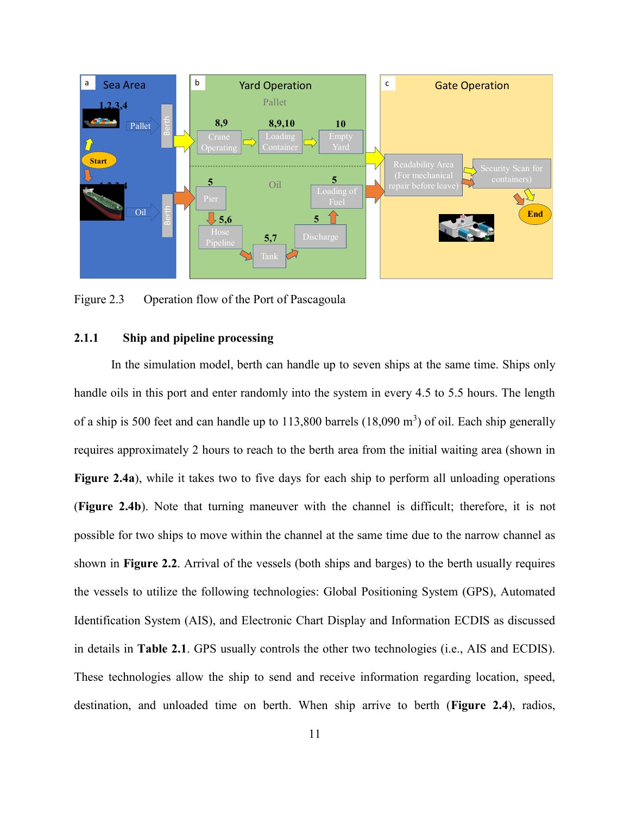

<span id="page-20-1"></span>Figure 2.3 Operation flow of the Port of Pascagoula

# <span id="page-20-0"></span>**2.1.1 Ship and pipeline processing**

In the simulation model, berth can handle up to seven ships at the same time. Ships only handle oils in this port and enter randomly into the system in every 4.5 to 5.5 hours. The length of a ship is 500 feet and can handle up to 113,800 barrels  $(18,090 \text{ m}^3)$  of oil. Each ship generally requires approximately 2 hours to reach to the berth area from the initial waiting area (shown in **Figure 2.4a**), while it takes two to five days for each ship to perform all unloading operations (**Figure 2.4b**). Note that turning maneuver with the channel is difficult; therefore, it is not possible for two ships to move within the channel at the same time due to the narrow channel as shown in **Figure 2.2**. Arrival of the vessels (both ships and barges) to the berth usually requires the vessels to utilize the following technologies: Global Positioning System (GPS), Automated Identification System (AIS), and Electronic Chart Display and Information ECDIS as discussed in details in **Table 2.1**. GPS usually controls the other two technologies (i.e., AIS and ECDIS). These technologies allow the ship to send and receive information regarding location, speed, Matter Countries and Countries and Countries and Countries and Countries and Countries and Countries and Countries and Countries and Countries and Countries and Countries and Countries and Countries and Countries and Count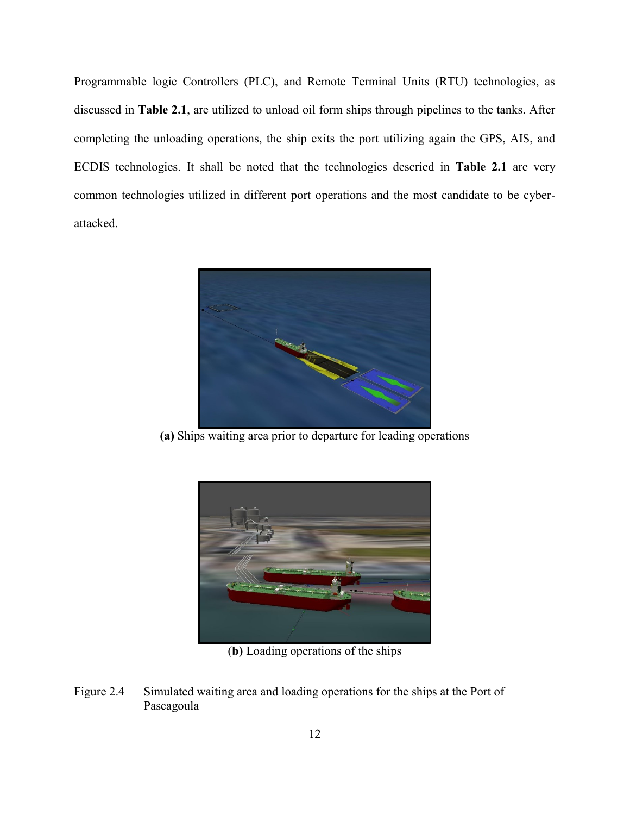<span id="page-21-0"></span>Programmable logic Controllers (PLC), and Remote Terminal Units (RTU) technologies, as discussed in **Table 2.1**, are utilized to unload oil form ships through pipelines to the tanks. After completing the unloading operations, the ship exits the port utilizing again the GPS, AIS, and ECDIS technologies. It shall be noted that the technologies descried in **Table 2.1** are very common technologies utilized in different port operations and the most candidate to be cyberattacked.



**(a)** Ships waiting area prior to departure for leading operations



(**b)** Loading operations of the ships

<span id="page-21-1"></span>Figure 2.4 Simulated waiting area and loading operations for the ships at the Port of Pascagoula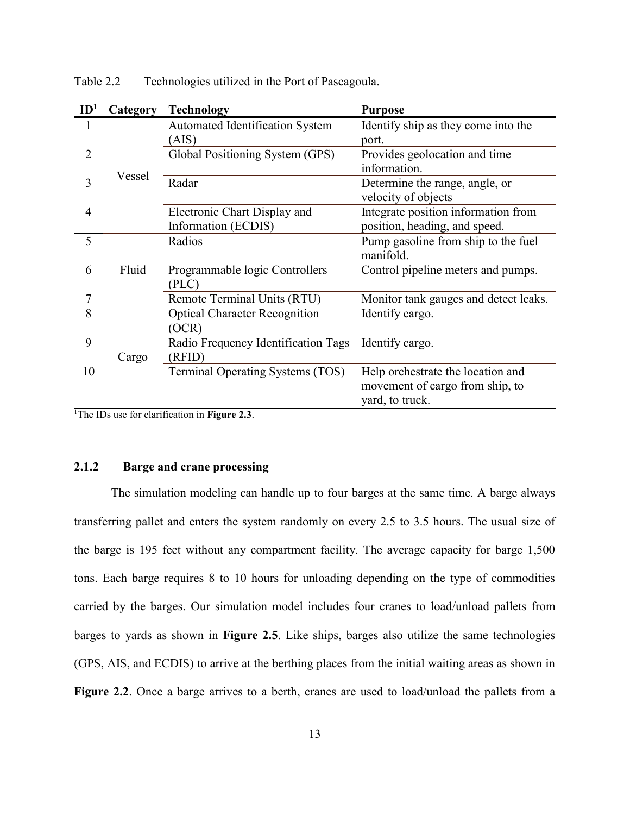| ID <sup>1</sup> | Category | <b>Technology</b>                    | <b>Purpose</b>                        |
|-----------------|----------|--------------------------------------|---------------------------------------|
| 1               |          | Automated Identification System      | Identify ship as they come into the   |
|                 |          | (AIS)                                | port.                                 |
| 2               |          | Global Positioning System (GPS)      | Provides geolocation and time         |
|                 | Vessel   |                                      | information.                          |
| 3               |          | Radar                                | Determine the range, angle, or        |
|                 |          |                                      | velocity of objects                   |
| $\overline{4}$  |          | Electronic Chart Display and         | Integrate position information from   |
|                 |          | Information (ECDIS)                  | position, heading, and speed.         |
| 5               |          | Radios                               | Pump gasoline from ship to the fuel   |
|                 |          |                                      | manifold.                             |
| 6               | Fluid    | Programmable logic Controllers       | Control pipeline meters and pumps.    |
|                 |          | (PLC)                                |                                       |
| 7               |          | Remote Terminal Units (RTU)          | Monitor tank gauges and detect leaks. |
| 8               |          | <b>Optical Character Recognition</b> | Identify cargo.                       |
|                 |          | OCR)                                 |                                       |
| 9               |          | Radio Frequency Identification Tags  | Identify cargo.                       |
|                 | Cargo    | (RFID)                               |                                       |
| 10              |          | Terminal Operating Systems (TOS)     | Help orchestrate the location and     |
|                 |          |                                      | movement of cargo from ship, to       |
|                 |          |                                      | yard, to truck.                       |

Table 2.2 Technologies utilized in the Port of Pascagoula.

<sup>1</sup>The IDs use for clarification in **Figure 2.3**.

# <span id="page-22-0"></span>**2.1.2 Barge and crane processing**

The simulation modeling can handle up to four barges at the same time. A barge always transferring pallet and enters the system randomly on every 2.5 to 3.5 hours. The usual size of the barge is 195 feet without any compartment facility. The average capacity for barge 1,500 tons. Each barge requires 8 to 10 hours for unloading depending on the type of commodities carried by the barges. Our simulation model includes four cranes to load/unload pallets from barges to yards as shown in **Figure 2.5**. Like ships, barges also utilize the same technologies (GPS, AIS, and ECDIS) to arrive at the berthing places from the initial waiting areas as shown in **Figure 2.2**. Once a barge arrives to a berth, cranes are used to load/unload the pallets from a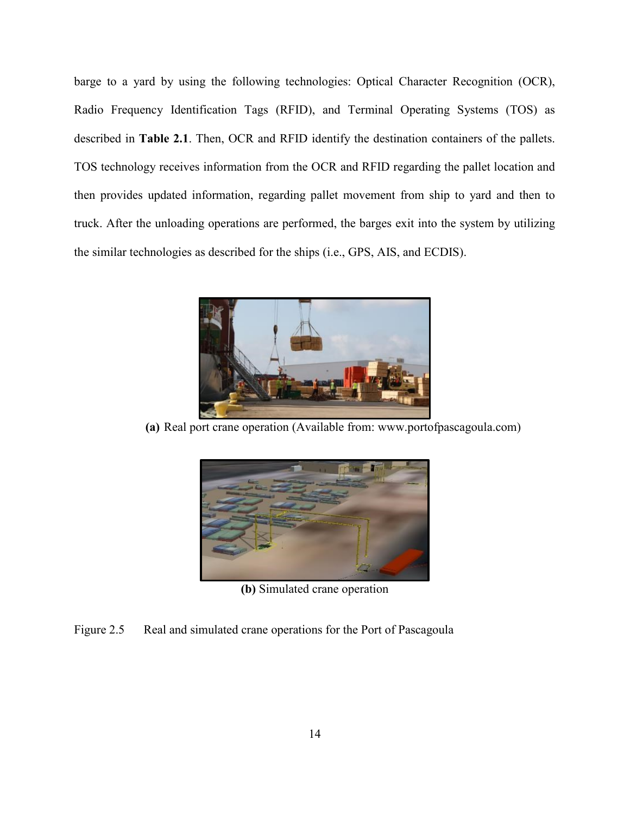barge to a yard by using the following technologies: Optical Character Recognition (OCR), Radio Frequency Identification Tags (RFID), and Terminal Operating Systems (TOS) as described in **Table 2.1**. Then, OCR and RFID identify the destination containers of the pallets. TOS technology receives information from the OCR and RFID regarding the pallet location and then provides updated information, regarding pallet movement from ship to yard and then to truck. After the unloading operations are performed, the barges exit into the system by utilizing the similar technologies as described for the ships (i.e., GPS, AIS, and ECDIS).



**(a)** Real port crane operation (Available from: www.portofpascagoula.com)



**(b)** Simulated crane operation

<span id="page-23-0"></span>Figure 2.5 Real and simulated crane operations for the Port of Pascagoula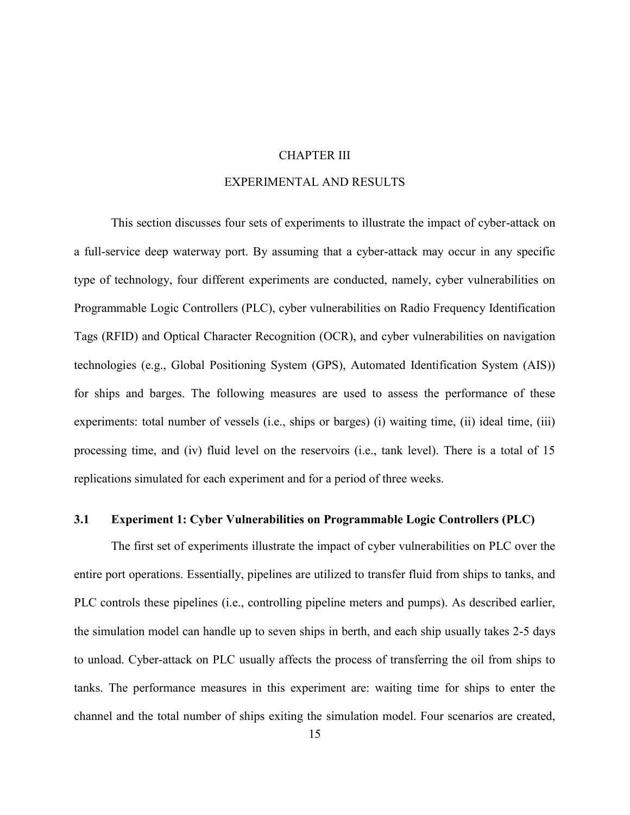## CHAPTER III

# EXPERIMENTAL AND RESULTS

<span id="page-24-0"></span>This section discusses four sets of experiments to illustrate the impact of cyber-attack on a full-service deep waterway port. By assuming that a cyber-attack may occur in any specific type of technology, four different experiments are conducted, namely, cyber vulnerabilities on Programmable Logic Controllers (PLC), cyber vulnerabilities on Radio Frequency Identification Tags (RFID) and Optical Character Recognition (OCR), and cyber vulnerabilities on navigation technologies (e.g., Global Positioning System (GPS), Automated Identification System (AIS)) for ships and barges. The following measures are used to assess the performance of these experiments: total number of vessels (i.e., ships or barges) (i) waiting time, (ii) ideal time, (iii) processing time, and (iv) fluid level on the reservoirs (i.e., tank level). There is a total of 15 replications simulated for each experiment and for a period of three weeks.

#### <span id="page-24-1"></span>**3.1 Experiment 1: Cyber Vulnerabilities on Programmable Logic Controllers (PLC)**

The first set of experiments illustrate the impact of cyber vulnerabilities on PLC over the entire port operations. Essentially, pipelines are utilized to transfer fluid from ships to tanks, and PLC controls these pipelines (i.e., controlling pipeline meters and pumps). As described earlier, the simulation model can handle up to seven ships in berth, and each ship usually takes 2-5 days to unload. Cyber-attack on PLC usually affects the process of transferring the oil from ships to tanks. The performance measures in this experiment are: waiting time for ships to enter the channel and the total number of ships exiting the simulation model. Four scenarios are created,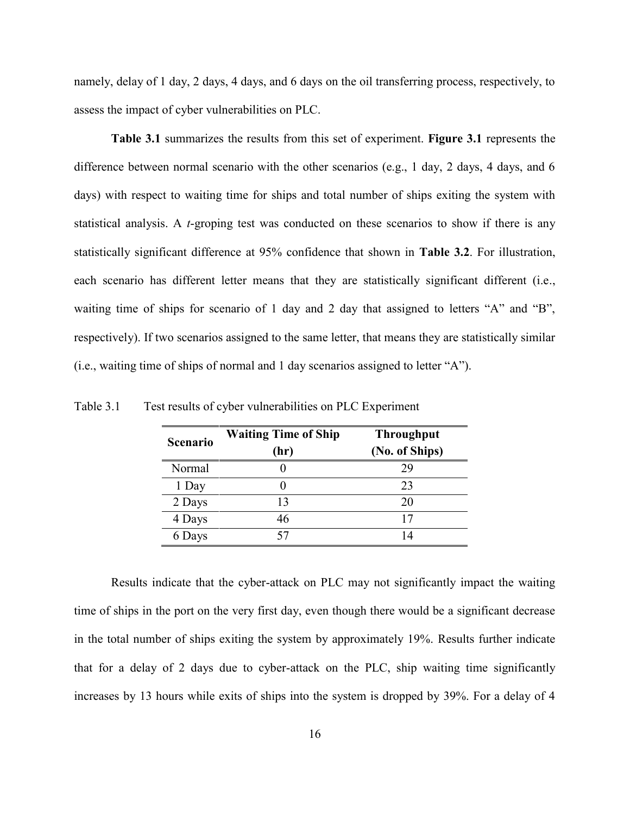namely, delay of 1 day, 2 days, 4 days, and 6 days on the oil transferring process, respectively, to assess the impact of cyber vulnerabilities on PLC.

**Table 3.1** summarizes the results from this set of experiment. **Figure 3.1** represents the difference between normal scenario with the other scenarios (e.g., 1 day, 2 days, 4 days, and 6 days) with respect to waiting time for ships and total number of ships exiting the system with statistical analysis. A *t*-groping test was conducted on these scenarios to show if there is any statistically significant difference at 95% confidence that shown in **Table 3.2**. For illustration, each scenario has different letter means that they are statistically significant different (i.e., waiting time of ships for scenario of 1 day and 2 day that assigned to letters "A" and "B", respectively). If two scenarios assigned to the same letter, that means they are statistically similar (i.e., waiting time of ships of normal and 1 day scenarios assigned to letter "A").

| <b>Scenario</b> | <b>Waiting Time of Ship</b><br>(hr) | <b>Throughput</b><br>(No. of Ships) |
|-----------------|-------------------------------------|-------------------------------------|
| Normal          |                                     | 29                                  |
| 1 Day           |                                     | 23                                  |
| 2 Days          | 13                                  | 20                                  |
| 4 Days          | 46                                  |                                     |
| 6 Days          |                                     | 14                                  |

<span id="page-25-0"></span>Table 3.1 Test results of cyber vulnerabilities on PLC Experiment

Results indicate that the cyber-attack on PLC may not significantly impact the waiting time of ships in the port on the very first day, even though there would be a significant decrease in the total number of ships exiting the system by approximately 19%. Results further indicate that for a delay of 2 days due to cyber-attack on the PLC, ship waiting time significantly increases by 13 hours while exits of ships into the system is dropped by 39%. For a delay of 4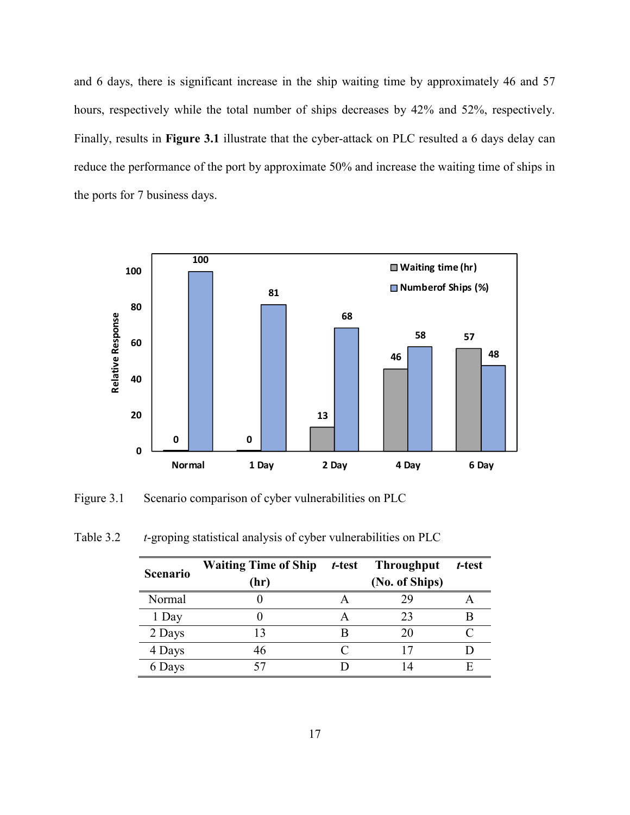<span id="page-26-0"></span>and 6 days, there is significant increase in the ship waiting time by approximately 46 and 57 hours, respectively while the total number of ships decreases by 42% and 52%, respectively. Finally, results in **Figure 3.1** illustrate that the cyber-attack on PLC resulted a 6 days delay can reduce the performance of the port by approximate 50% and increase the waiting time of ships in the ports for 7 business days.



<span id="page-26-2"></span>Figure 3.1 Scenario comparison of cyber vulnerabilities on PLC

<span id="page-26-1"></span>

| Table 3.2 |  | <i>t</i> -groping statistical analysis of cyber vulnerabilities on PLC |
|-----------|--|------------------------------------------------------------------------|
|           |  |                                                                        |

| <b>Scenario</b> | <b>Waiting Time of Ship</b><br>(hr) | t-test | <b>Throughput</b><br>(No. of Ships) | t-test |
|-----------------|-------------------------------------|--------|-------------------------------------|--------|
| Normal          |                                     |        | 29                                  |        |
| 1 Day           |                                     |        | 23                                  |        |
| 2 Days          | 13                                  |        | 20                                  |        |
| 4 Days          | 46                                  |        |                                     |        |
| 6 Days          |                                     |        |                                     |        |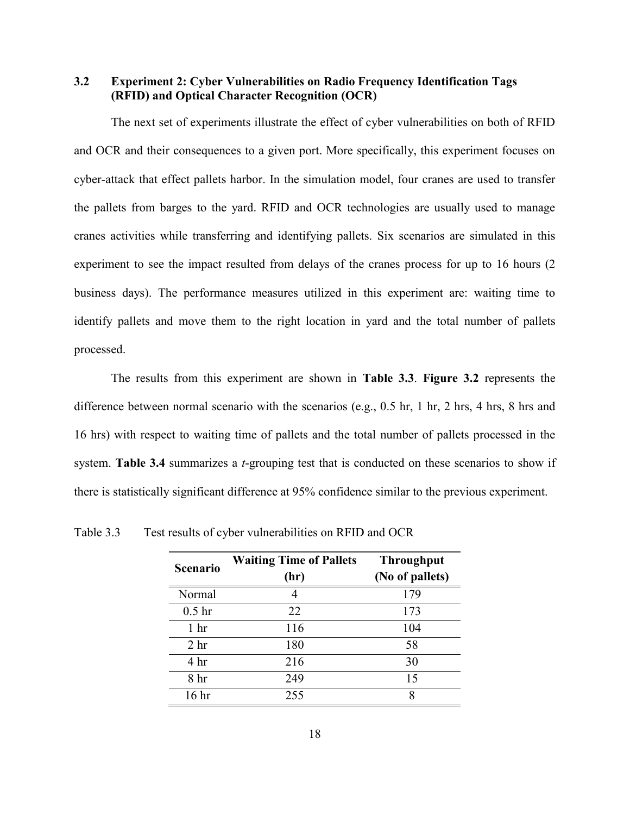**3.2 Experiment 2: Cyber Vulnerabilities on Radio Frequency Identification Tags (RFID) and Optical Character Recognition (OCR)**

The next set of experiments illustrate the effect of cyber vulnerabilities on both of RFID and OCR and their consequences to a given port. More specifically, this experiment focuses on cyber-attack that effect pallets harbor. In the simulation model, four cranes are used to transfer the pallets from barges to the yard. RFID and OCR technologies are usually used to manage cranes activities while transferring and identifying pallets. Six scenarios are simulated in this experiment to see the impact resulted from delays of the cranes process for up to 16 hours (2 business days). The performance measures utilized in this experiment are: waiting time to identify pallets and move them to the right location in yard and the total number of pallets processed.

The results from this experiment are shown in **Table 3.3**. **Figure 3.2** represents the difference between normal scenario with the scenarios (e.g., 0.5 hr, 1 hr, 2 hrs, 4 hrs, 8 hrs and 16 hrs) with respect to waiting time of pallets and the total number of pallets processed in the system. **Table 3.4** summarizes a *t*-grouping test that is conducted on these scenarios to show if there is statistically significant difference at 95% confidence similar to the previous experiment.

| <b>Scenario</b>   | <b>Waiting Time of Pallets</b><br>(hr) | <b>Throughput</b><br>(No of pallets) |
|-------------------|----------------------------------------|--------------------------------------|
| Normal            | 4                                      | 179                                  |
| 0.5 <sub>hr</sub> | 22                                     | 173                                  |
| 1 <sub>hr</sub>   | 116                                    | 104                                  |
| 2 <sub>hr</sub>   | 180                                    | 58                                   |
| 4 <sup>hr</sup>   | 216                                    | 30                                   |
| 8 hr              | 249                                    | 15                                   |
| 16 <sup>hr</sup>  | 255                                    | 8                                    |

<span id="page-27-0"></span>Table 3.3 Test results of cyber vulnerabilities on RFID and OCR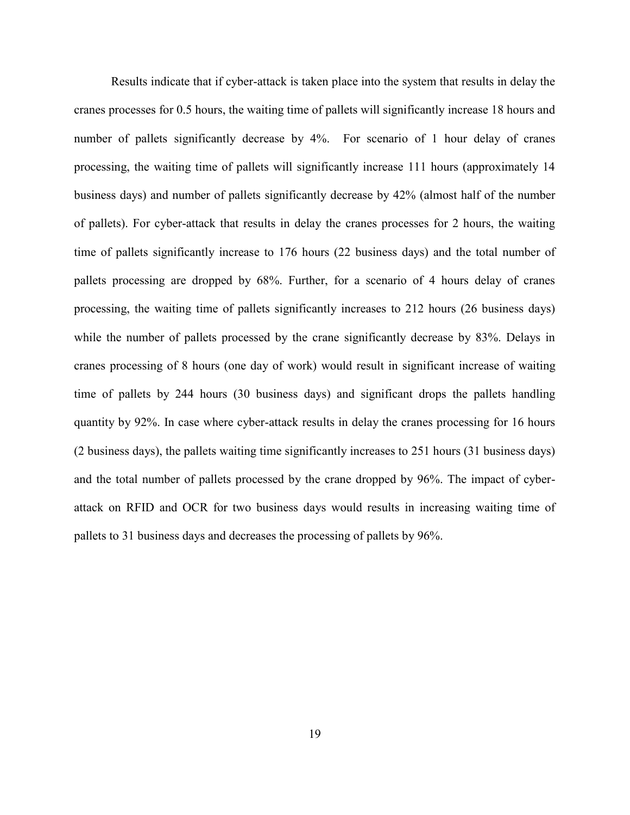Results indicate that if cyber-attack is taken place into the system that results in delay the cranes processes for 0.5 hours, the waiting time of pallets will significantly increase 18 hours and number of pallets significantly decrease by 4%. For scenario of 1 hour delay of cranes processing, the waiting time of pallets will significantly increase 111 hours (approximately 14 business days) and number of pallets significantly decrease by 42% (almost half of the number of pallets). For cyber-attack that results in delay the cranes processes for 2 hours, the waiting time of pallets significantly increase to 176 hours (22 business days) and the total number of pallets processing are dropped by 68%. Further, for a scenario of 4 hours delay of cranes processing, the waiting time of pallets significantly increases to 212 hours (26 business days) while the number of pallets processed by the crane significantly decrease by 83%. Delays in cranes processing of 8 hours (one day of work) would result in significant increase of waiting time of pallets by 244 hours (30 business days) and significant drops the pallets handling quantity by 92%. In case where cyber-attack results in delay the cranes processing for 16 hours (2 business days), the pallets waiting time significantly increases to 251 hours (31 business days) and the total number of pallets processed by the crane dropped by 96%. The impact of cyberattack on RFID and OCR for two business days would results in increasing waiting time of pallets to 31 business days and decreases the processing of pallets by 96%.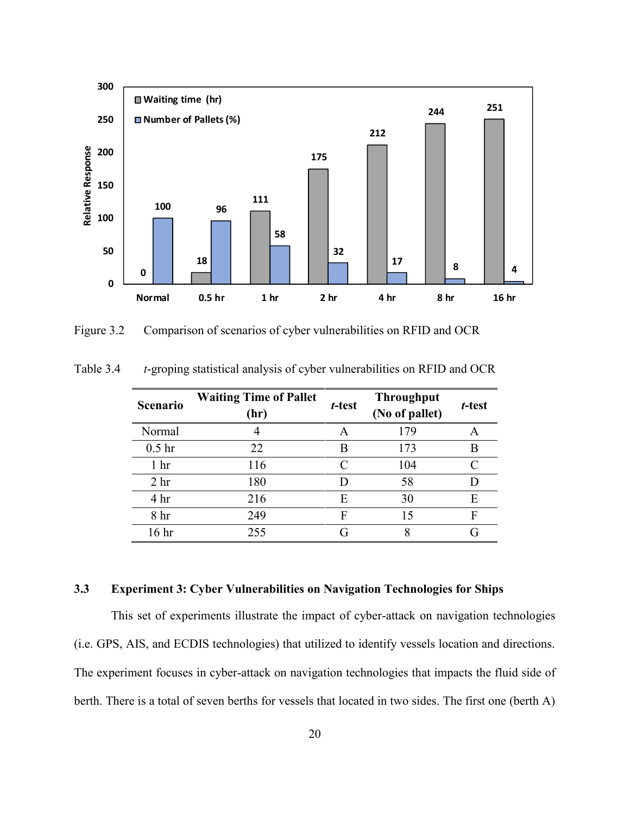

<span id="page-29-2"></span>Figure 3.2 Comparison of scenarios of cyber vulnerabilities on RFID and OCR

| Scenario          | <b>Waiting Time of Pallet</b><br>(hr) | t-test | <b>Throughput</b><br>(No of pallet) | t-test |
|-------------------|---------------------------------------|--------|-------------------------------------|--------|
| Normal            |                                       | A      | 179                                 | A      |
| 0.5 <sub>hr</sub> | 22                                    | B      | 173                                 | B      |
| 1 <sub>hr</sub>   | 116                                   | C      | 104                                 | C      |
| 2 <sub>hr</sub>   | 180                                   | D      | 58                                  |        |
| 4 <sup>hr</sup>   | 216                                   | E      | 30                                  | Е      |
| 8 <sup>h</sup> r  | 249                                   | F      | 15                                  | F      |
| 16 <sup>hr</sup>  | 255                                   | G      | 8                                   | G      |

<span id="page-29-1"></span>Table 3.4 *t*-groping statistical analysis of cyber vulnerabilities on RFID and OCR

# <span id="page-29-0"></span>**3.3 Experiment 3: Cyber Vulnerabilities on Navigation Technologies for Ships**

This set of experiments illustrate the impact of cyber-attack on navigation technologies (i.e. GPS, AIS, and ECDIS technologies) that utilized to identify vessels location and directions. The experiment focuses in cyber-attack on navigation technologies that impacts the fluid side of berth. There is a total of seven berths for vessels that located in two sides. The first one (berth A)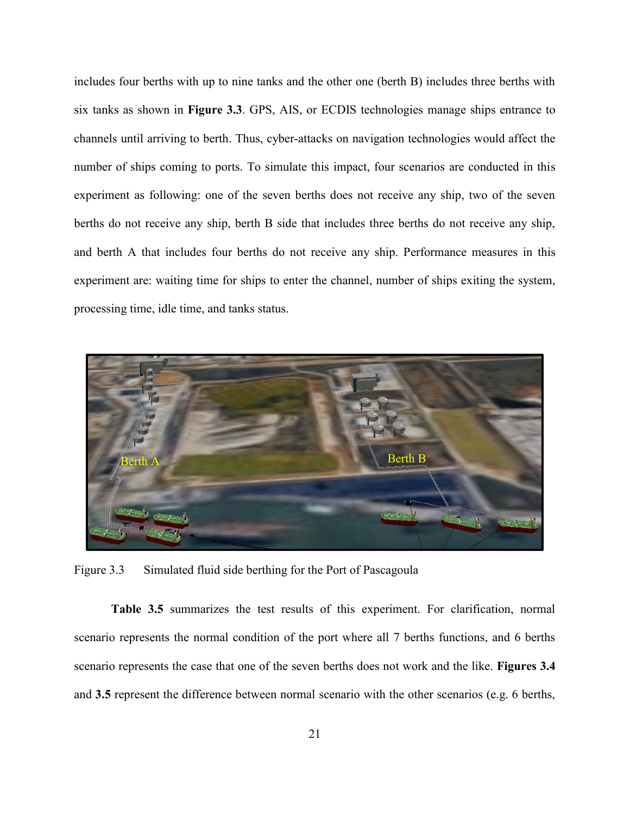includes four berths with up to nine tanks and the other one (berth B) includes three berths with six tanks as shown in **Figure 3.3**. GPS, AIS, or ECDIS technologies manage ships entrance to channels until arriving to berth. Thus, cyber-attacks on navigation technologies would affect the number of ships coming to ports. To simulate this impact, four scenarios are conducted in this experiment as following: one of the seven berths does not receive any ship, two of the seven berths do not receive any ship, berth B side that includes three berths do not receive any ship, and berth A that includes four berths do not receive any ship. Performance measures in this experiment are: waiting time for ships to enter the channel, number of ships exiting the system, processing time, idle time, and tanks status.



Figure 3.3 Simulated fluid side berthing for the Port of Pascagoula

<span id="page-30-0"></span>**Table 3.5** summarizes the test results of this experiment. For clarification, normal scenario represents the normal condition of the port where all 7 berths functions, and 6 berths scenario represents the case that one of the seven berths does not work and the like. **Figures 3.4** and **3.5** represent the difference between normal scenario with the other scenarios (e.g. 6 berths,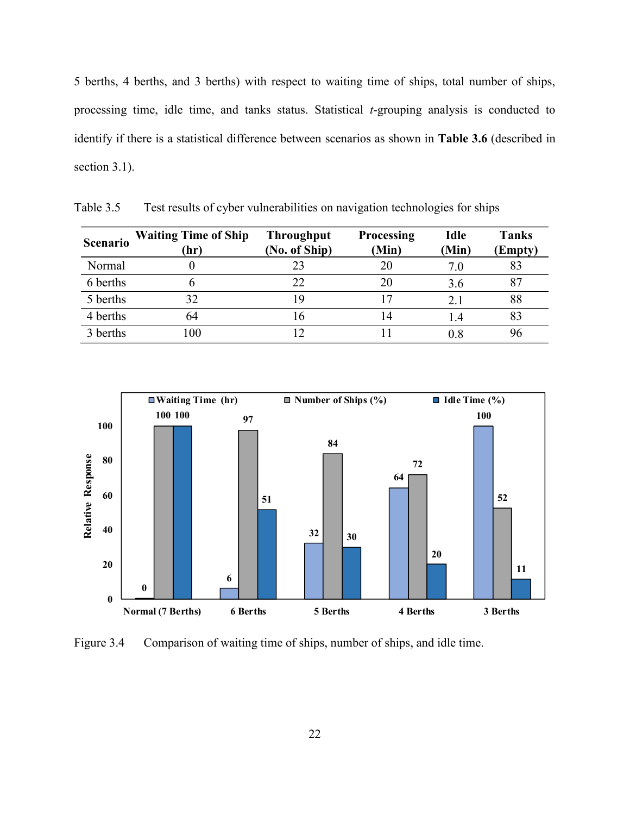5 berths, 4 berths, and 3 berths) with respect to waiting time of ships, total number of ships, processing time, idle time, and tanks status. Statistical *t*-grouping analysis is conducted to identify if there is a statistical difference between scenarios as shown in **Table 3.6** (described in section 3.1).

| Scenario | <b>Waiting Time of Ship</b><br>(hr) | <b>Throughput</b><br>(No. of Ship) | <b>Processing</b><br>(Min) | <b>Idle</b><br>(Min) | <b>Tanks</b><br>(Empty) |
|----------|-------------------------------------|------------------------------------|----------------------------|----------------------|-------------------------|
| Normal   |                                     |                                    |                            | 7.0                  |                         |
| 6 berths |                                     |                                    | 20                         | 3.6                  | 87                      |
| 5 berths | 32                                  | 19                                 |                            | 2.1                  | 88                      |
| 4 berths | 64                                  | 16                                 | 14                         | l .4                 | 83                      |
| 3 berths | 100                                 |                                    |                            | $0.8\,$              | 96                      |

<span id="page-31-0"></span>Table 3.5 Test results of cyber vulnerabilities on navigation technologies for ships



<span id="page-31-1"></span>Figure 3.4 Comparison of waiting time of ships, number of ships, and idle time.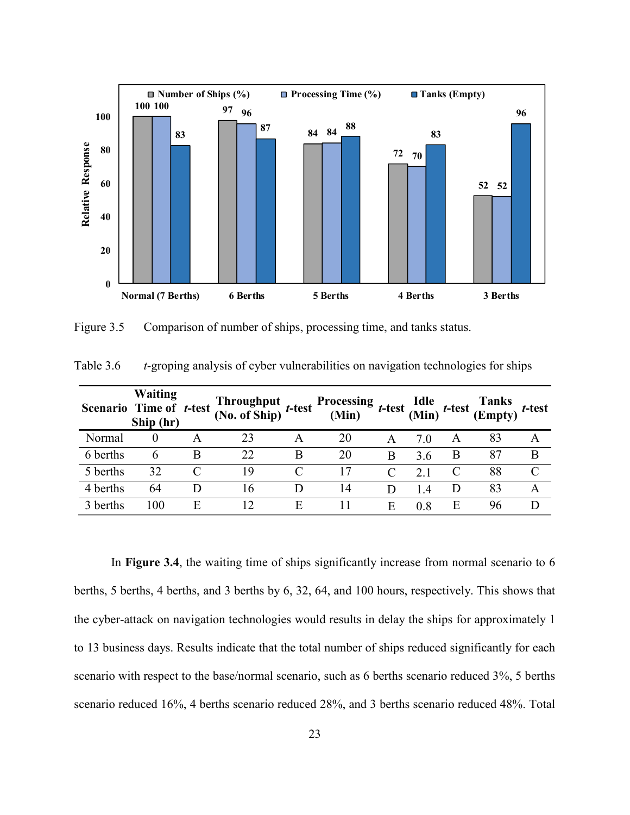

<span id="page-32-1"></span>Figure 3.5 Comparison of number of ships, processing time, and tanks status.

|          | <b>Waiting</b><br>Scenario Time of t-test<br>Ship (hr) |   | Throughput<br>(No. of Ship) | $t$ -test | Processing <i>t</i> -test $\lim_{t \to \infty} t$ |   |     | t-test | <b>Tanks</b><br>$\cdot$ (Empty) $t$ -test |           |
|----------|--------------------------------------------------------|---|-----------------------------|-----------|---------------------------------------------------|---|-----|--------|-------------------------------------------|-----------|
| Normal   |                                                        |   | 23                          | A         | 20                                                | A | 7.0 | A      | 83                                        |           |
| 6 berths | 6                                                      | B | 22                          | B         | 20                                                | B | 3.6 | B      | 87                                        | B         |
| 5 berths | 32                                                     |   | 19                          |           | 17                                                |   | 21  | C      | 88                                        | $\subset$ |
| 4 berths | 64                                                     | Ð | 16                          |           | 14                                                | D | 14  | D      | 83                                        |           |
| 3 berths | 100                                                    | E |                             | E         | 11                                                | E | 0.8 | Ε      | 96                                        |           |

<span id="page-32-0"></span>Table 3.6 *t*-groping analysis of cyber vulnerabilities on navigation technologies for ships

In **Figure 3.4**, the waiting time of ships significantly increase from normal scenario to 6 berths, 5 berths, 4 berths, and 3 berths by 6, 32, 64, and 100 hours, respectively. This shows that the cyber-attack on navigation technologies would results in delay the ships for approximately 1 to 13 business days. Results indicate that the total number of ships reduced significantly for each scenario with respect to the base/normal scenario, such as 6 berths scenario reduced 3%, 5 berths scenario reduced 16%, 4 berths scenario reduced 28%, and 3 berths scenario reduced 48%. Total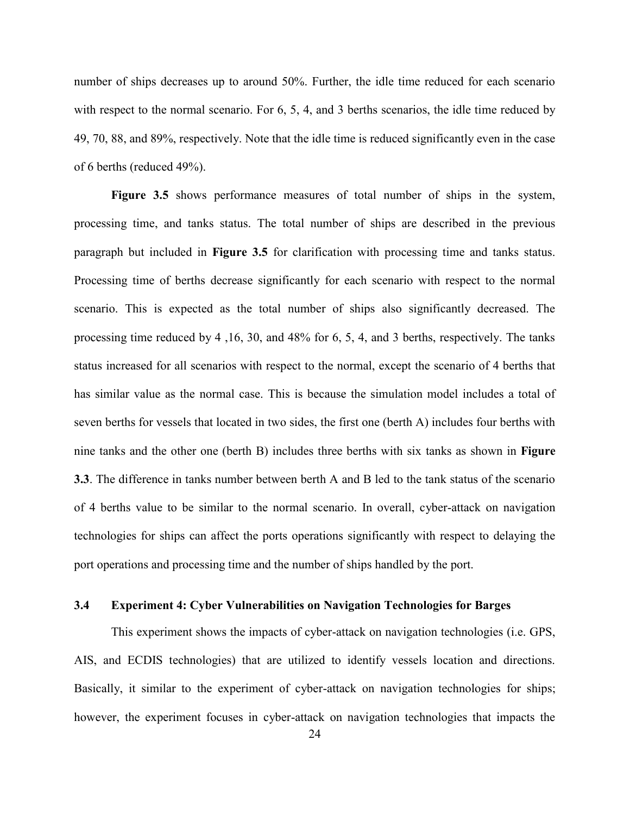number of ships decreases up to around 50%. Further, the idle time reduced for each scenario with respect to the normal scenario. For 6, 5, 4, and 3 berths scenarios, the idle time reduced by 49, 70, 88, and 89%, respectively. Note that the idle time is reduced significantly even in the case of 6 berths (reduced 49%).

**Figure 3.5** shows performance measures of total number of ships in the system, processing time, and tanks status. The total number of ships are described in the previous paragraph but included in **Figure 3.5** for clarification with processing time and tanks status. Processing time of berths decrease significantly for each scenario with respect to the normal scenario. This is expected as the total number of ships also significantly decreased. The processing time reduced by 4 ,16, 30, and 48% for 6, 5, 4, and 3 berths, respectively. The tanks status increased for all scenarios with respect to the normal, except the scenario of 4 berths that has similar value as the normal case. This is because the simulation model includes a total of seven berths for vessels that located in two sides, the first one (berth A) includes four berths with nine tanks and the other one (berth B) includes three berths with six tanks as shown in **Figure 3.3**. The difference in tanks number between berth A and B led to the tank status of the scenario of 4 berths value to be similar to the normal scenario. In overall, cyber-attack on navigation technologies for ships can affect the ports operations significantly with respect to delaying the port operations and processing time and the number of ships handled by the port.

# <span id="page-33-0"></span>**3.4 Experiment 4: Cyber Vulnerabilities on Navigation Technologies for Barges**

This experiment shows the impacts of cyber-attack on navigation technologies (i.e. GPS, AIS, and ECDIS technologies) that are utilized to identify vessels location and directions. Basically, it similar to the experiment of cyber-attack on navigation technologies for ships; however, the experiment focuses in cyber-attack on navigation technologies that impacts the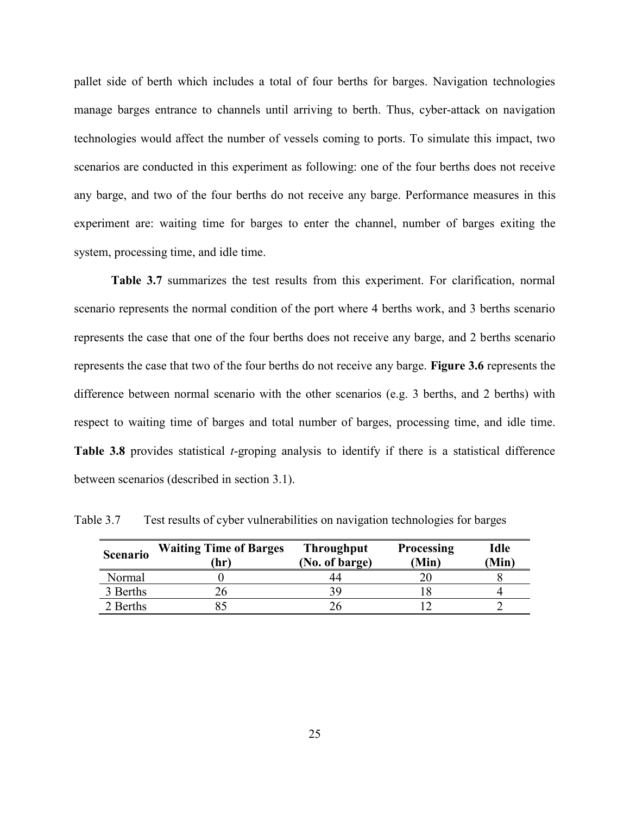pallet side of berth which includes a total of four berths for barges. Navigation technologies manage barges entrance to channels until arriving to berth. Thus, cyber-attack on navigation technologies would affect the number of vessels coming to ports. To simulate this impact, two scenarios are conducted in this experiment as following: one of the four berths does not receive any barge, and two of the four berths do not receive any barge. Performance measures in this experiment are: waiting time for barges to enter the channel, number of barges exiting the system, processing time, and idle time.

**Table 3.7** summarizes the test results from this experiment. For clarification, normal scenario represents the normal condition of the port where 4 berths work, and 3 berths scenario represents the case that one of the four berths does not receive any barge, and 2 berths scenario represents the case that two of the four berths do not receive any barge. **Figure 3.6** represents the difference between normal scenario with the other scenarios (e.g. 3 berths, and 2 berths) with respect to waiting time of barges and total number of barges, processing time, and idle time. **Table 3.8** provides statistical *t*-groping analysis to identify if there is a statistical difference between scenarios (described in section 3.1).

**Scenario Waiting Time of Barges (hr) Throughput (No. of barge) Processing (Min) Idle (Min)** Normal 0 44 20 8 3 Berths 26 39 18 4 2 Berths 85 26 12 2

<span id="page-34-0"></span>Table 3.7 Test results of cyber vulnerabilities on navigation technologies for barges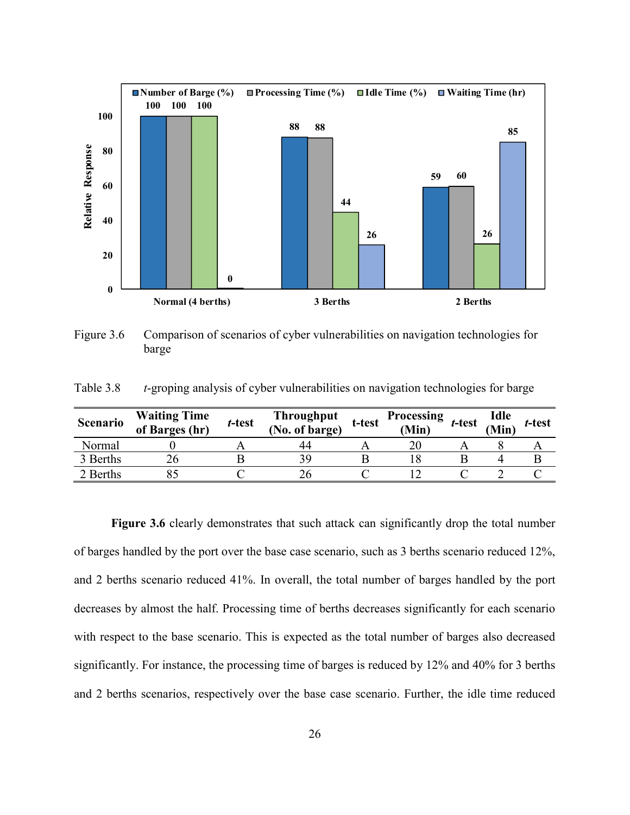

<span id="page-35-1"></span>Figure 3.6 Comparison of scenarios of cyber vulnerabilities on navigation technologies for barge

<span id="page-35-0"></span>Table 3.8 *t*-groping analysis of cyber vulnerabilities on navigation technologies for barge

| Scenario | <b>Waiting Time</b><br>of Barges (hr) | t-test | Throughput<br>(No. of barge) | t-test | <b>Processing</b><br>(Min) | t-test | Idle<br><b>Min</b> | t-test |
|----------|---------------------------------------|--------|------------------------------|--------|----------------------------|--------|--------------------|--------|
| Normal   |                                       |        | 44                           |        |                            |        |                    |        |
| 3 Berths |                                       |        |                              |        |                            |        |                    |        |
| 2 Berths |                                       |        |                              |        |                            |        |                    |        |

**Figure 3.6** clearly demonstrates that such attack can significantly drop the total number of barges handled by the port over the base case scenario, such as 3 berths scenario reduced 12%, and 2 berths scenario reduced 41%. In overall, the total number of barges handled by the port decreases by almost the half. Processing time of berths decreases significantly for each scenario with respect to the base scenario. This is expected as the total number of barges also decreased significantly. For instance, the processing time of barges is reduced by 12% and 40% for 3 berths and 2 berths scenarios, respectively over the base case scenario. Further, the idle time reduced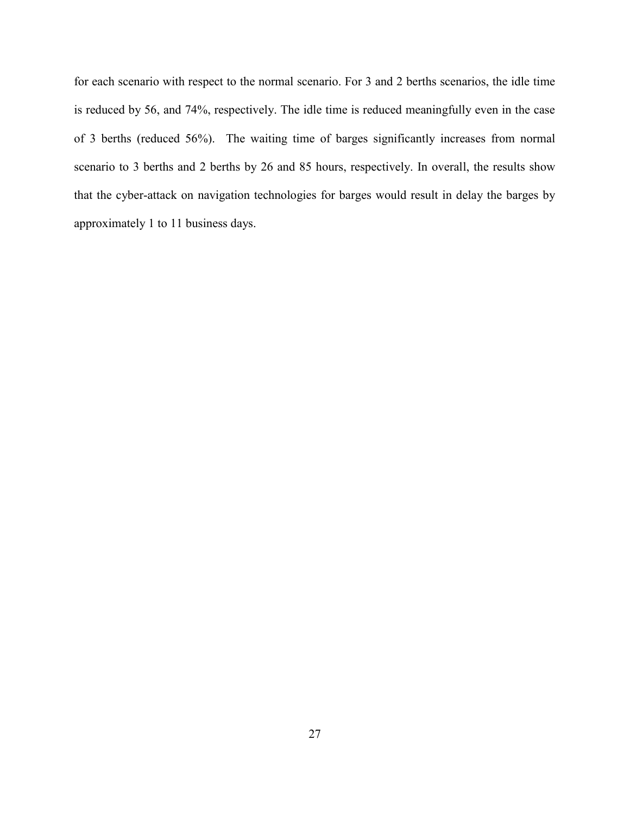for each scenario with respect to the normal scenario. For 3 and 2 berths scenarios, the idle time is reduced by 56, and 74%, respectively. The idle time is reduced meaningfully even in the case of 3 berths (reduced 56%). The waiting time of barges significantly increases from normal scenario to 3 berths and 2 berths by 26 and 85 hours, respectively. In overall, the results show that the cyber-attack on navigation technologies for barges would result in delay the barges by approximately 1 to 11 business days.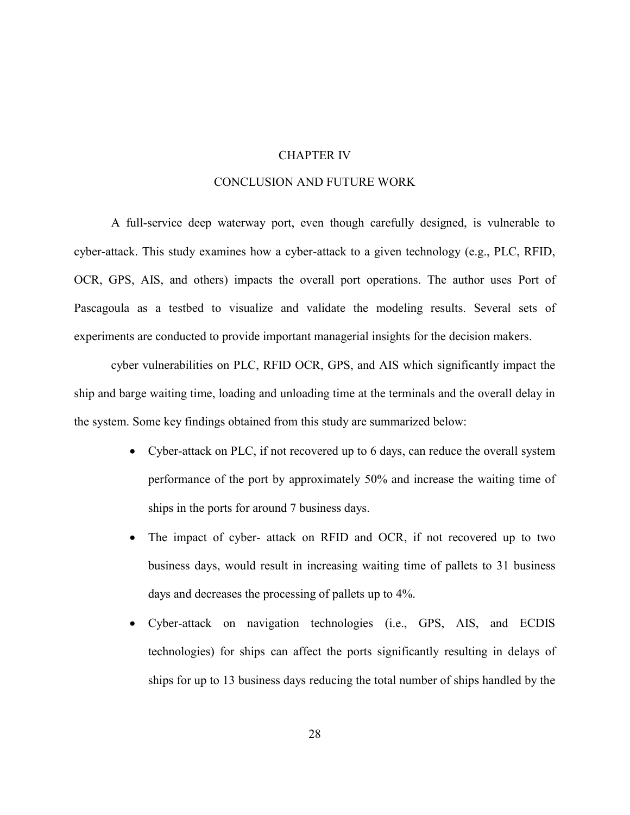## CHAPTER IV

## CONCLUSION AND FUTURE WORK

<span id="page-37-0"></span>A full-service deep waterway port, even though carefully designed, is vulnerable to cyber-attack. This study examines how a cyber-attack to a given technology (e.g., PLC, RFID, OCR, GPS, AIS, and others) impacts the overall port operations. The author uses Port of Pascagoula as a testbed to visualize and validate the modeling results. Several sets of experiments are conducted to provide important managerial insights for the decision makers.

cyber vulnerabilities on PLC, RFID OCR, GPS, and AIS which significantly impact the ship and barge waiting time, loading and unloading time at the terminals and the overall delay in the system. Some key findings obtained from this study are summarized below:

- Cyber-attack on PLC, if not recovered up to 6 days, can reduce the overall system performance of the port by approximately 50% and increase the waiting time of ships in the ports for around 7 business days.
- The impact of cyber- attack on RFID and OCR, if not recovered up to two business days, would result in increasing waiting time of pallets to 31 business days and decreases the processing of pallets up to 4%.
- Cyber-attack on navigation technologies (i.e., GPS, AIS, and ECDIS technologies) for ships can affect the ports significantly resulting in delays of ships for up to 13 business days reducing the total number of ships handled by the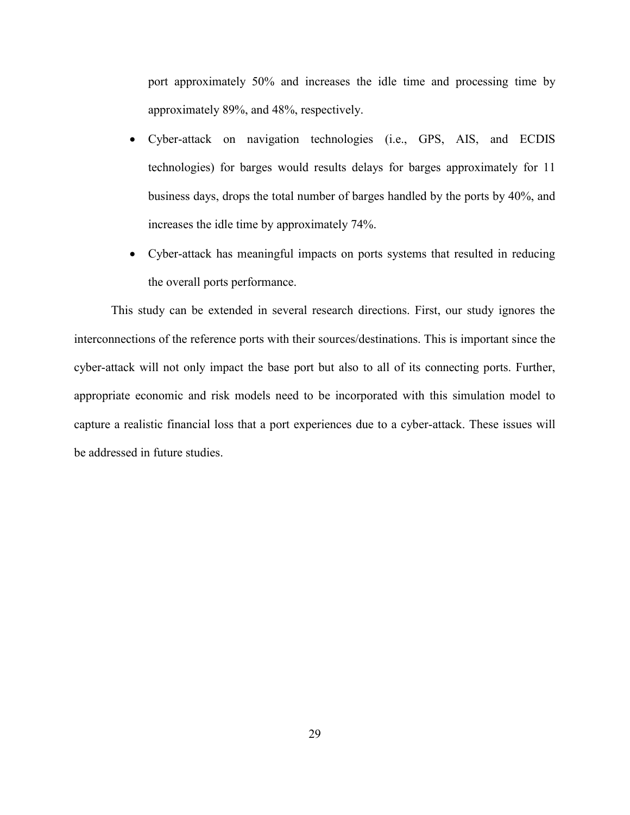port approximately 50% and increases the idle time and processing time by approximately 89%, and 48%, respectively.

- Cyber-attack on navigation technologies (i.e., GPS, AIS, and ECDIS technologies) for barges would results delays for barges approximately for 11 business days, drops the total number of barges handled by the ports by 40%, and increases the idle time by approximately 74%.
- Cyber-attack has meaningful impacts on ports systems that resulted in reducing the overall ports performance.

This study can be extended in several research directions. First, our study ignores the interconnections of the reference ports with their sources/destinations. This is important since the cyber-attack will not only impact the base port but also to all of its connecting ports. Further, appropriate economic and risk models need to be incorporated with this simulation model to capture a realistic financial loss that a port experiences due to a cyber-attack. These issues will be addressed in future studies.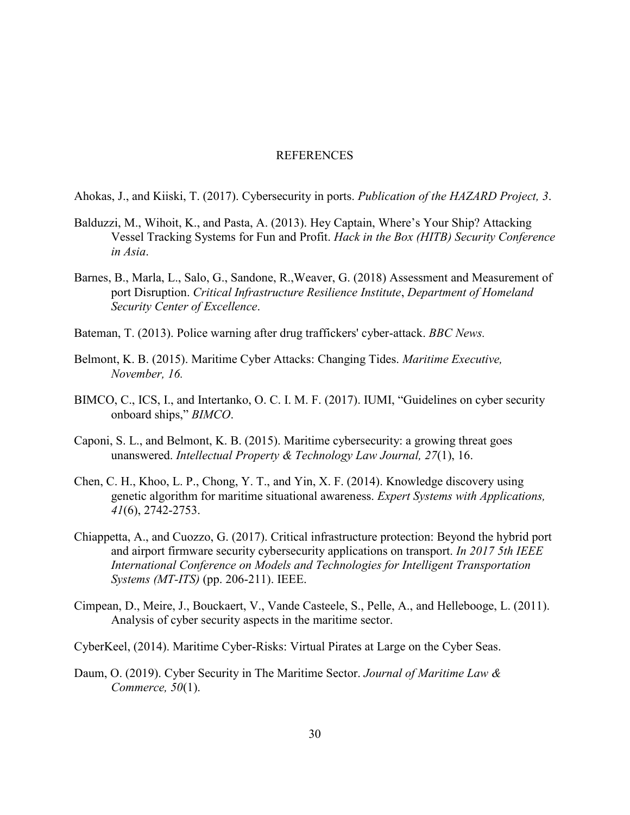#### REFERENCES

<span id="page-39-0"></span>Ahokas, J., and Kiiski, T. (2017). Cybersecurity in ports. *Publication of the HAZARD Project, 3*.

- Balduzzi, M., Wihoit, K., and Pasta, A. (2013). Hey Captain, Where's Your Ship? Attacking Vessel Tracking Systems for Fun and Profit. *Hack in the Box (HITB) Security Conference in Asia*.
- Barnes, B., Marla, L., Salo, G., Sandone, R.,Weaver, G. (2018) Assessment and Measurement of port Disruption. *Critical Infrastructure Resilience Institute*, *Department of Homeland Security Center of Excellence*.
- Bateman, T. (2013). Police warning after drug traffickers' cyber-attack. *BBC News.*
- Belmont, K. B. (2015). Maritime Cyber Attacks: Changing Tides. *Maritime Executive, November, 16.*
- BIMCO, C., ICS, I., and Intertanko, O. C. I. M. F. (2017). IUMI, "Guidelines on cyber security onboard ships," *BIMCO*.
- Caponi, S. L., and Belmont, K. B. (2015). Maritime cybersecurity: a growing threat goes unanswered. *Intellectual Property & Technology Law Journal, 27*(1), 16.
- Chen, C. H., Khoo, L. P., Chong, Y. T., and Yin, X. F. (2014). Knowledge discovery using genetic algorithm for maritime situational awareness. *Expert Systems with Applications, 41*(6), 2742-2753.
- Chiappetta, A., and Cuozzo, G. (2017). Critical infrastructure protection: Beyond the hybrid port and airport firmware security cybersecurity applications on transport. *In 2017 5th IEEE International Conference on Models and Technologies for Intelligent Transportation Systems (MT-ITS)* (pp. 206-211). IEEE.
- Cimpean, D., Meire, J., Bouckaert, V., Vande Casteele, S., Pelle, A., and Hellebooge, L. (2011). Analysis of cyber security aspects in the maritime sector.
- CyberKeel, (2014). Maritime Cyber-Risks: Virtual Pirates at Large on the Cyber Seas.
- Daum, O. (2019). Cyber Security in The Maritime Sector. *Journal of Maritime Law & Commerce, 50*(1).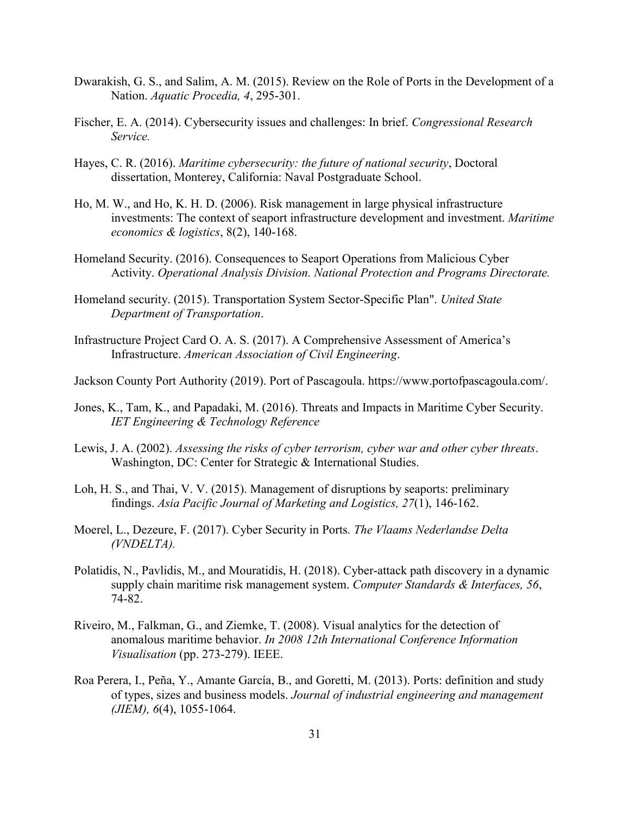- Dwarakish, G. S., and Salim, A. M. (2015). Review on the Role of Ports in the Development of a Nation. *Aquatic Procedia, 4*, 295-301.
- Fischer, E. A. (2014). Cybersecurity issues and challenges: In brief. *Congressional Research Service.*
- Hayes, C. R. (2016). *Maritime cybersecurity: the future of national security*, Doctoral dissertation, Monterey, California: Naval Postgraduate School.
- Ho, M. W., and Ho, K. H. D. (2006). Risk management in large physical infrastructure investments: The context of seaport infrastructure development and investment. *Maritime economics & logistics*, 8(2), 140-168.
- Homeland Security. (2016). Consequences to Seaport Operations from Malicious Cyber Activity. *Operational Analysis Division. National Protection and Programs Directorate.*
- Homeland security. (2015). Transportation System Sector-Specific Plan". *United State Department of Transportation*.
- Infrastructure Project Card O. A. S. (2017). A Comprehensive Assessment of America's Infrastructure. *American Association of Civil Engineering*.
- Jackson County Port Authority (2019). Port of Pascagoula. https://www.portofpascagoula.com/.
- Jones, K., Tam, K., and Papadaki, M. (2016). Threats and Impacts in Maritime Cyber Security. *IET Engineering & Technology Reference*
- Lewis, J. A. (2002). *Assessing the risks of cyber terrorism, cyber war and other cyber threats*. Washington, DC: Center for Strategic & International Studies.
- Loh, H. S., and Thai, V. V. (2015). Management of disruptions by seaports: preliminary findings. *Asia Pacific Journal of Marketing and Logistics, 27*(1), 146-162.
- Moerel, L., Dezeure, F. (2017). Cyber Security in Ports*. The Vlaams Nederlandse Delta (VNDELTA).*
- Polatidis, N., Pavlidis, M., and Mouratidis, H. (2018). Cyber-attack path discovery in a dynamic supply chain maritime risk management system. *Computer Standards & Interfaces, 56*, 74-82.
- Riveiro, M., Falkman, G., and Ziemke, T. (2008). Visual analytics for the detection of anomalous maritime behavior. *In 2008 12th International Conference Information Visualisation* (pp. 273-279). IEEE.
- Roa Perera, I., Peña, Y., Amante García, B., and Goretti, M. (2013). Ports: definition and study of types, sizes and business models. *Journal of industrial engineering and management (JIEM), 6*(4), 1055-1064.